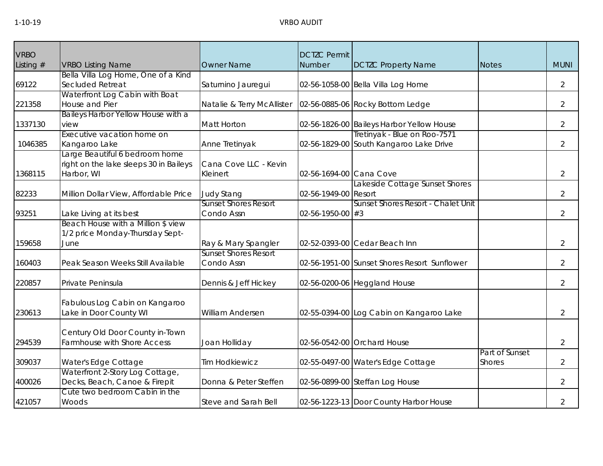| <b>VRBO</b> |                                                  |                             | <b>DCTZC Permit</b>      |                                              |                                 |                |
|-------------|--------------------------------------------------|-----------------------------|--------------------------|----------------------------------------------|---------------------------------|----------------|
| Listing #   | <b>VRBO Listing Name</b>                         | <b>Owner Name</b>           | Number                   | <b>DCTZC Property Name</b>                   | <b>Notes</b>                    | <b>MUNI</b>    |
|             | Bella Villa Log Home, One of a Kind              |                             |                          |                                              |                                 |                |
| 69122       | Secluded Retreat                                 | Saturnino Jauregui          |                          | 02-56-1058-00 Bella Villa Log Home           |                                 | $\overline{2}$ |
| 221358      | Waterfront Log Cabin with Boat<br>House and Pier | Natalie & Terry McAllister  |                          | 02-56-0885-06 Rocky Bottom Ledge             |                                 | 2              |
|             | Baileys Harbor Yellow House with a               |                             |                          |                                              |                                 |                |
| 1337130     | view                                             | Matt Horton                 |                          | 02-56-1826-00 Baileys Harbor Yellow House    |                                 | $\overline{2}$ |
|             | Executive vacation home on                       |                             |                          | Tretinyak - Blue on Roo-7571                 |                                 |                |
| 1046385     | Kangaroo Lake                                    | Anne Tretinyak              |                          | 02-56-1829-00 South Kangaroo Lake Drive      |                                 | 2              |
|             | Large Beautiful 6 bedroom home                   |                             |                          |                                              |                                 |                |
|             | right on the lake sleeps 30 in Baileys           | Cana Cove LLC - Kevin       |                          |                                              |                                 |                |
| 1368115     | Harbor, WI                                       | Kleinert                    | 02-56-1694-00 Cana Cove  |                                              |                                 | $\overline{2}$ |
|             |                                                  |                             |                          | Lakeside Cottage Sunset Shores               |                                 |                |
| 82233       | Million Dollar View, Affordable Price            | <b>Judy Stang</b>           | 02-56-1949-00 Resort     |                                              |                                 | $\overline{2}$ |
|             |                                                  | <b>Sunset Shores Resort</b> |                          | Sunset Shores Resort - Chalet Unit           |                                 |                |
| 93251       | Lake Living at its best                          | Condo Assn                  | $02 - 56 - 1950 - 00$ #3 |                                              |                                 | 2              |
|             | Beach House with a Million \$ view               |                             |                          |                                              |                                 |                |
|             | 1/2 price Monday-Thursday Sept-                  |                             |                          |                                              |                                 |                |
| 159658      | June                                             | Ray & Mary Spangler         |                          | 02-52-0393-00 Cedar Beach Inn                |                                 | $\overline{2}$ |
|             |                                                  | <b>Sunset Shores Resort</b> |                          |                                              |                                 |                |
| 160403      | Peak Season Weeks Still Available                | Condo Assn                  |                          | 02-56-1951-00 Sunset Shores Resort Sunflower |                                 | $\overline{2}$ |
| 220857      | Private Peninsula                                | Dennis & Jeff Hickey        |                          | 02-56-0200-06 Heggland House                 |                                 | 2              |
|             |                                                  |                             |                          |                                              |                                 |                |
|             | Fabulous Log Cabin on Kangaroo                   |                             |                          |                                              |                                 |                |
| 230613      | Lake in Door County WI                           | <b>William Andersen</b>     |                          | 02-55-0394-00 Log Cabin on Kangaroo Lake     |                                 | $\overline{2}$ |
|             |                                                  |                             |                          |                                              |                                 |                |
|             | Century Old Door County in-Town                  |                             |                          |                                              |                                 |                |
| 294539      | Farmhouse with Shore Access                      | Joan Holliday               |                          | 02-56-0542-00 Orchard House                  |                                 | $\overline{2}$ |
| 309037      | Water's Edge Cottage                             | <b>Tim Hodkiewicz</b>       |                          | 02-55-0497-00 Water's Edge Cottage           | Part of Sunset<br><b>Shores</b> | 2              |
|             | Waterfront 2-Story Log Cottage,                  |                             |                          |                                              |                                 |                |
| 400026      | Decks, Beach, Canoe & Firepit                    | Donna & Peter Steffen       |                          | 02-56-0899-00 Steffan Log House              |                                 | $\overline{2}$ |
|             | Cute two bedroom Cabin in the                    |                             |                          |                                              |                                 |                |
| 421057      | Woods                                            | Steve and Sarah Bell        |                          | 02-56-1223-13 Door County Harbor House       |                                 | $\overline{2}$ |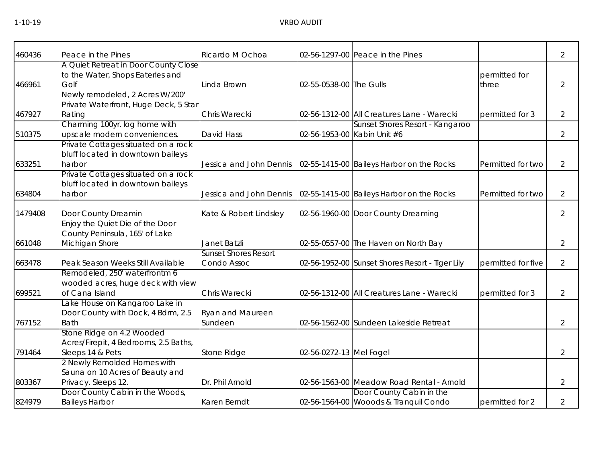| 460436  | Peace in the Pines                                                                     | Ricardo M Ochoa                            |                         | 02-56-1297-00 Peace in the Pines                                  |                        | $\overline{2}$ |
|---------|----------------------------------------------------------------------------------------|--------------------------------------------|-------------------------|-------------------------------------------------------------------|------------------------|----------------|
| 466961  | A Quiet Retreat in Door County Close<br>to the Water, Shops Eateries and<br>Golf       | Linda Brown                                | 02-55-0538-00 The Gulls |                                                                   | permitted for<br>three | $\overline{2}$ |
|         | Newly remodeled, 2 Acres W/200'<br>Private Waterfront, Huge Deck, 5 Star               |                                            |                         |                                                                   |                        |                |
| 467927  | Rating                                                                                 | Chris Warecki                              |                         | 02-56-1312-00 All Creatures Lane - Warecki                        | permitted for 3        | 2              |
| 510375  | Charming 100yr. log home with<br>upscale modern conveniences.                          | David Hass                                 |                         | Sunset Shores Resort - Kangaroo<br>02-56-1953-00 Kabin Unit #6    |                        | $\overline{2}$ |
| 633251  | Private Cottages situated on a rock<br>bluff located in downtown baileys<br>harbor     | Jessica and John Dennis                    |                         | 02-55-1415-00 Baileys Harbor on the Rocks                         | Permitted for two      | 2              |
| 634804  | Private Cottages situated on a rock<br>bluff located in downtown baileys<br>harbor     | Jessica and John Dennis                    |                         | 02-55-1415-00 Baileys Harbor on the Rocks                         | Permitted for two      | 2              |
| 1479408 | Door County Dreamin                                                                    | Kate & Robert Lindsley                     |                         | 02-56-1960-00 Door County Dreaming                                |                        | $\overline{2}$ |
| 661048  | Enjoy the Quiet Die of the Door<br>County Peninsula, 165' of Lake<br>Michigan Shore    | Janet Batzli                               |                         | 02-55-0557-00 The Haven on North Bay                              |                        | 2              |
| 663478  | Peak Season Weeks Still Available                                                      | <b>Sunset Shores Resort</b><br>Condo Assoc |                         | 02-56-1952-00 Sunset Shores Resort - Tiger Lily                   | permitted for five     | $\overline{2}$ |
| 699521  | Remodeled, 250' waterfrontm 6<br>wooded acres, huge deck with view<br>of Cana Island   | Chris Warecki                              |                         | 02-56-1312-00 All Creatures Lane - Warecki                        | permitted for 3        | $\overline{2}$ |
| 767152  | Lake House on Kangaroo Lake in<br>Door County with Dock, 4 Bdrm, 2.5<br><b>Bath</b>    | <b>Ryan and Maureen</b><br>Sundeen         |                         | 02-56-1562-00 Sundeen Lakeside Retreat                            |                        | $\overline{2}$ |
| 791464  | Stone Ridge on 4.2 Wooded<br>Acres/Firepit, 4 Bedrooms, 2.5 Baths,<br>Sleeps 14 & Pets | Stone Ridge                                | 02-56-0272-13 Mel Fogel |                                                                   |                        | $\overline{2}$ |
| 803367  | 2 Newly Remolded Homes with<br>Sauna on 10 Acres of Beauty and<br>Privacy. Sleeps 12.  | Dr. Phil Arnold                            |                         | 02-56-1563-00 Meadow Road Rental - Arnold                         |                        | 2              |
| 824979  | Door County Cabin in the Woods,<br><b>Baileys Harbor</b>                               | Karen Berndt                               |                         | Door County Cabin in the<br>02-56-1564-00 Wooods & Tranquil Condo | permitted for 2        | 2              |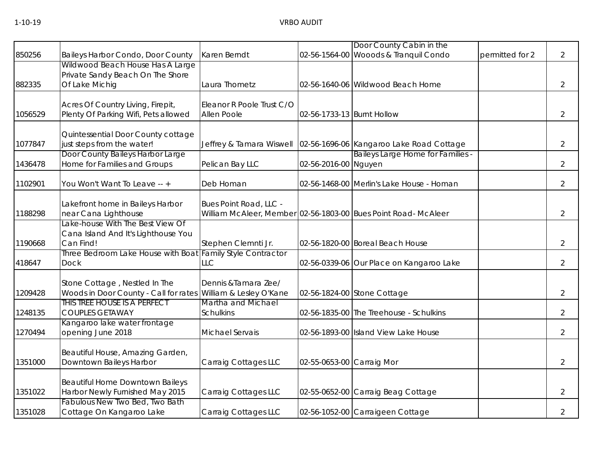|         |                                                               |                                |                            | Door County Cabin in the                                          |                 |                |
|---------|---------------------------------------------------------------|--------------------------------|----------------------------|-------------------------------------------------------------------|-----------------|----------------|
| 850256  | Baileys Harbor Condo, Door County                             | Karen Berndt                   |                            | 02-56-1564-00 Wooods & Tranquil Condo                             | permitted for 2 | $\overline{2}$ |
|         | Wildwood Beach House Has A Large                              |                                |                            |                                                                   |                 |                |
|         | Private Sandy Beach On The Shore                              |                                |                            |                                                                   |                 |                |
| 882335  | Of Lake Michig                                                | Laura Thometz                  |                            | 02-56-1640-06 Wildwood Beach Home                                 |                 | $\overline{2}$ |
|         |                                                               |                                |                            |                                                                   |                 |                |
|         | Acres Of Country Living, Firepit,                             | Eleanor R Poole Trust C/O      |                            |                                                                   |                 |                |
| 1056529 | Plenty Of Parking Wifi, Pets allowed                          | Allen Poole                    | 02-56-1733-13 Burnt Hollow |                                                                   |                 | $\overline{2}$ |
|         | Quintessential Door County cottage                            |                                |                            |                                                                   |                 |                |
| 1077847 | just steps from the water!                                    |                                |                            | Jeffrey & Tamara Wiswell 02-56-1696-06 Kangaroo Lake Road Cottage |                 | $\overline{2}$ |
|         | Door County Baileys Harbor Large                              |                                |                            | Baileys Large Home for Families -                                 |                 |                |
| 1436478 | Home for Families and Groups                                  | Pelican Bay LLC                | 02-56-2016-00 Nguyen       |                                                                   |                 | $\overline{2}$ |
|         |                                                               |                                |                            |                                                                   |                 |                |
| 1102901 | You Won't Want To Leave -- +                                  | Deb Homan                      |                            | 02-56-1468-00 Merlin's Lake House - Homan                         |                 | $\overline{2}$ |
|         |                                                               |                                |                            |                                                                   |                 |                |
|         | Lakefront home in Baileys Harbor                              | Bues Point Road, LLC -         |                            |                                                                   |                 |                |
| 1188298 | near Cana Lighthouse                                          |                                |                            | William McAleer, Member 02-56-1803-00 Bues Point Road- McAleer    |                 | $\overline{2}$ |
|         | Lake-house With The Best View Of                              |                                |                            |                                                                   |                 |                |
| 1190668 | Cana Island And It's Lighthouse You<br>Can Find!              | Stephen Clemnti Jr.            |                            | 02-56-1820-00 Boreal Beach House                                  |                 | $\overline{2}$ |
|         | Three Bedroom Lake House with Boat                            | <b>Family Style Contractor</b> |                            |                                                                   |                 |                |
| 418647  | <b>Dock</b>                                                   | LLC                            |                            | 02-56-0339-06 Our Place on Kangaroo Lake                          |                 | $\overline{2}$ |
|         |                                                               |                                |                            |                                                                   |                 |                |
|         | Stone Cottage, Nestled In The                                 | Dennis & Tamara Zee/           |                            |                                                                   |                 |                |
| 1209428 | Woods in Door County - Call for rates William & Lesley O'Kane |                                |                            | 02-56-1824-00 Stone Cottage                                       |                 | $\overline{2}$ |
|         | THIS TREE HOUSE IS A PERFECT                                  | Martha and Michael             |                            |                                                                   |                 |                |
| 1248135 | <b>COUPLES GETAWAY</b>                                        | <b>Schulkins</b>               |                            | 02-56-1835-00 The Treehouse - Schulkins                           |                 | $\overline{2}$ |
|         | Kangaroo lake water frontage                                  |                                |                            |                                                                   |                 |                |
| 1270494 | opening June 2018                                             | Michael Servais                |                            | 02-56-1893-00 Island View Lake House                              |                 | $\overline{2}$ |
|         | Beautiful House, Amazing Garden,                              |                                |                            |                                                                   |                 |                |
| 1351000 | Downtown Baileys Harbor                                       | Carraig Cottages LLC           | 02-55-0653-00 Carraig Mor  |                                                                   |                 | $\overline{2}$ |
|         |                                                               |                                |                            |                                                                   |                 |                |
|         | Beautiful Home Downtown Baileys                               |                                |                            |                                                                   |                 |                |
| 1351022 | Harbor Newly Furnished May 2015                               | Carraig Cottages LLC           |                            | 02-55-0652-00 Carraig Beag Cottage                                |                 | $\overline{2}$ |
|         | Fabulous New Two Bed, Two Bath                                |                                |                            |                                                                   |                 |                |
| 1351028 | Cottage On Kangaroo Lake                                      | Carraig Cottages LLC           |                            | 02-56-1052-00 Carraigeen Cottage                                  |                 | $\overline{2}$ |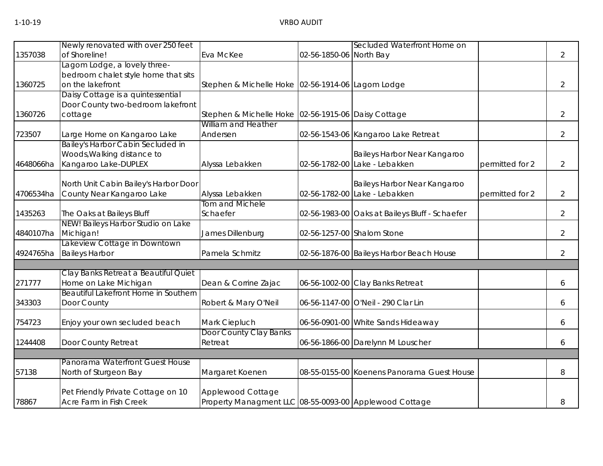|           | Newly renovated with over 250 feet    |                                                        |                         | Secluded Waterfront Home on                    |                 |                |
|-----------|---------------------------------------|--------------------------------------------------------|-------------------------|------------------------------------------------|-----------------|----------------|
| 1357038   | of Shoreline!                         | Eva McKee                                              | 02-56-1850-06 North Bay |                                                |                 | $\overline{2}$ |
|           | Lagom Lodge, a lovely three-          |                                                        |                         |                                                |                 |                |
|           | bedroom chalet style home that sits   |                                                        |                         |                                                |                 |                |
| 1360725   | on the lakefront                      | Stephen & Michelle Hoke 02-56-1914-06 Lagom Lodge      |                         |                                                |                 | $\overline{2}$ |
|           | Daisy Cottage is a quintessential     |                                                        |                         |                                                |                 |                |
|           | Door County two-bedroom lakefront     |                                                        |                         |                                                |                 |                |
| 1360726   | cottage                               | Stephen & Michelle Hoke 02-56-1915-06 Daisy Cottage    |                         |                                                |                 | $\overline{2}$ |
|           |                                       | William and Heather                                    |                         |                                                |                 |                |
| 723507    | Large Home on Kangaroo Lake           | Andersen                                               |                         | 02-56-1543-06 Kangaroo Lake Retreat            |                 | $\overline{2}$ |
|           | Bailey's Harbor Cabin Secluded in     |                                                        |                         |                                                |                 |                |
|           | Woods, Walking distance to            |                                                        |                         | Baileys Harbor Near Kangaroo                   |                 |                |
| 4648066ha | Kangaroo Lake-DUPLEX                  | Alyssa Lebakken                                        |                         | 02-56-1782-00 Lake - Lebakken                  | permitted for 2 | $\overline{2}$ |
|           |                                       |                                                        |                         |                                                |                 |                |
|           | North Unit Cabin Bailey's Harbor Door |                                                        |                         | Baileys Harbor Near Kangaroo                   |                 |                |
| 4706534ha | County Near Kangaroo Lake             | Alyssa Lebakken                                        |                         | 02-56-1782-00 Lake - Lebakken                  | permitted for 2 | $\overline{2}$ |
|           |                                       | <b>Tom and Michele</b>                                 |                         |                                                |                 |                |
| 1435263   | The Oaks at Baileys Bluff             | Schaefer                                               |                         | 02-56-1983-00 Oaks at Baileys Bluff - Schaefer |                 | $\overline{2}$ |
|           | NEW! Baileys Harbor Studio on Lake    |                                                        |                         |                                                |                 |                |
| 4840107ha | Michigan!                             | James Dillenburg                                       |                         | 02-56-1257-00 Shalom Stone                     |                 | $\overline{2}$ |
|           | Lakeview Cottage in Downtown          |                                                        |                         |                                                |                 |                |
|           | 4924765ha Baileys Harbor              | Pamela Schmitz                                         |                         | 02-56-1876-00 Baileys Harbor Beach House       |                 | $\overline{2}$ |
|           |                                       |                                                        |                         |                                                |                 |                |
|           | Clay Banks Retreat a Beautiful Quiet  |                                                        |                         |                                                |                 |                |
| 271777    | Home on Lake Michigan                 | Dean & Corrine Zajac                                   |                         | 06-56-1002-00 Clay Banks Retreat               |                 | 6              |
|           | Beautiful Lakefront Home in Southern  |                                                        |                         |                                                |                 |                |
| 343303    | Door County                           | Robert & Mary O'Neil                                   |                         | 06-56-1147-00 O'Neil - 290 Clar Lin            |                 | 6              |
| 754723    |                                       |                                                        |                         |                                                |                 |                |
|           | Enjoy your own secluded beach         | Mark Ciepluch<br>Door County Clay Banks                |                         | 06-56-0901-00 White Sands Hideaway             |                 | 6              |
|           |                                       | Retreat                                                |                         |                                                |                 |                |
| 1244408   | Door County Retreat                   |                                                        |                         | 06-56-1866-00 Darelynn M Louscher              |                 | 6              |
|           | Panorama Waterfront Guest House       |                                                        |                         |                                                |                 |                |
| 57138     | North of Sturgeon Bay                 | Margaret Koenen                                        |                         | 08-55-0155-00 Koenens Panorama Guest House     |                 | 8              |
|           |                                       |                                                        |                         |                                                |                 |                |
|           | Pet Friendly Private Cottage on 10    | Applewood Cottage                                      |                         |                                                |                 |                |
| 78867     | Acre Farm in Fish Creek               | Property Managment LLC 08-55-0093-00 Applewood Cottage |                         |                                                |                 | 8              |
|           |                                       |                                                        |                         |                                                |                 |                |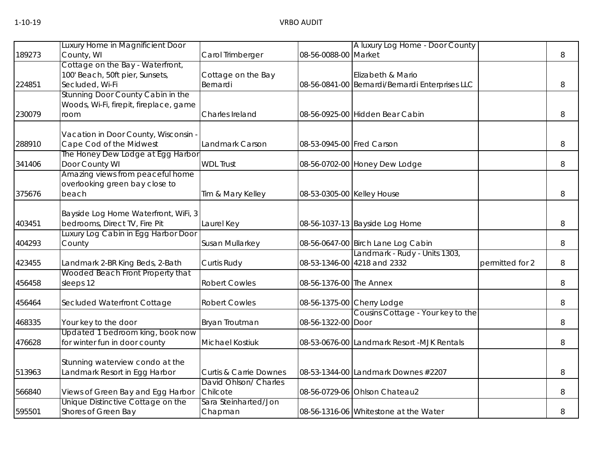|        | Luxury Home in Magnificient Door                                |                                   |                            | A luxury Log Home - Door County                 |                 |   |
|--------|-----------------------------------------------------------------|-----------------------------------|----------------------------|-------------------------------------------------|-----------------|---|
| 189273 | County, WI                                                      | Carol Trimberger                  | 08-56-0088-00 Market       |                                                 |                 | 8 |
|        | Cottage on the Bay - Waterfront,                                |                                   |                            |                                                 |                 |   |
|        | 100' Beach, 50ft pier, Sunsets,                                 | Cottage on the Bay                |                            | Elizabeth & Mario                               |                 |   |
| 224851 | Secluded, Wi-Fi                                                 | Bernardi                          |                            | 08-56-0841-00 Bernardi/Bernardi Enterprises LLC |                 | 8 |
|        | Stunning Door County Cabin in the                               |                                   |                            |                                                 |                 |   |
|        | Woods, Wi-Fi, firepit, fireplace, game                          |                                   |                            |                                                 |                 |   |
| 230079 | room                                                            | Charles Ireland                   |                            | 08-56-0925-00 Hidden Bear Cabin                 |                 | 8 |
|        |                                                                 |                                   |                            |                                                 |                 |   |
| 288910 | Vacation in Door County, Wisconsin -<br>Cape Cod of the Midwest | Landmark Carson                   | 08-53-0945-00 Fred Carson  |                                                 |                 | 8 |
|        | The Honey Dew Lodge at Egg Harbor                               |                                   |                            |                                                 |                 |   |
| 341406 | Door County WI                                                  | <b>WDL Trust</b>                  |                            | 08-56-0702-00 Honey Dew Lodge                   |                 | 8 |
|        | Amazing views from peaceful home                                |                                   |                            |                                                 |                 |   |
|        | overlooking green bay close to                                  |                                   |                            |                                                 |                 |   |
| 375676 | beach                                                           | Tim & Mary Kelley                 | 08-53-0305-00 Kelley House |                                                 |                 | 8 |
|        |                                                                 |                                   |                            |                                                 |                 |   |
|        | Bayside Log Home Waterfront, WiFi, 3                            |                                   |                            |                                                 |                 |   |
| 403451 | bedrooms, Direct TV, Fire Pit                                   | Laurel Key                        |                            | 08-56-1037-13 Bayside Log Home                  |                 | 8 |
|        | Luxury Log Cabin in Egg Harbor Door                             |                                   |                            |                                                 |                 |   |
| 404293 | County                                                          | Susan Mullarkey                   |                            | 08-56-0647-00 Birch Lane Log Cabin              |                 | 8 |
|        |                                                                 |                                   |                            | Landmark - Rudy - Units 1303,                   |                 |   |
| 423455 | Landmark 2-BR King Beds, 2-Bath                                 | Curtis Rudy                       |                            | 08-53-1346-00 4218 and 2332                     | permitted for 2 | 8 |
|        | Wooded Beach Front Property that                                |                                   |                            |                                                 |                 |   |
| 456458 | sleeps 12                                                       | <b>Robert Cowles</b>              | 08-56-1376-00 The Annex    |                                                 |                 | 8 |
|        |                                                                 |                                   |                            |                                                 |                 |   |
| 456464 | Secluded Waterfront Cottage                                     | <b>Robert Cowles</b>              |                            | 08-56-1375-00 Cherry Lodge                      |                 | 8 |
|        |                                                                 |                                   |                            | Cousins Cottage - Your key to the               |                 |   |
| 468335 | Your key to the door                                            | Bryan Troutman                    | 08-56-1322-00              | Door                                            |                 | 8 |
|        | Updated 1 bedroom king, book now                                |                                   |                            |                                                 |                 |   |
| 476628 | for winter fun in door county                                   | <b>Michael Kostiuk</b>            |                            | 08-53-0676-00 Landmark Resort -MJK Rentals      |                 | 8 |
|        | Stunning waterview condo at the                                 |                                   |                            |                                                 |                 |   |
| 513963 | andmark Resort in Egg Harbor                                    | <b>Curtis &amp; Carrie Downes</b> |                            | 08-53-1344-00 Landmark Downes #2207             |                 | 8 |
|        |                                                                 | David Ohlson/ Charles             |                            |                                                 |                 |   |
| 566840 | Views of Green Bay and Egg Harbor                               | Chilcote                          |                            | 08-56-0729-06 Ohlson Chateau2                   |                 | 8 |
|        | Unique Distinctive Cottage on the                               | Sara Steinharted/Jon              |                            |                                                 |                 |   |
| 595501 | Shores of Green Bay                                             | Chapman                           |                            | 08-56-1316-06 Whitestone at the Water           |                 | 8 |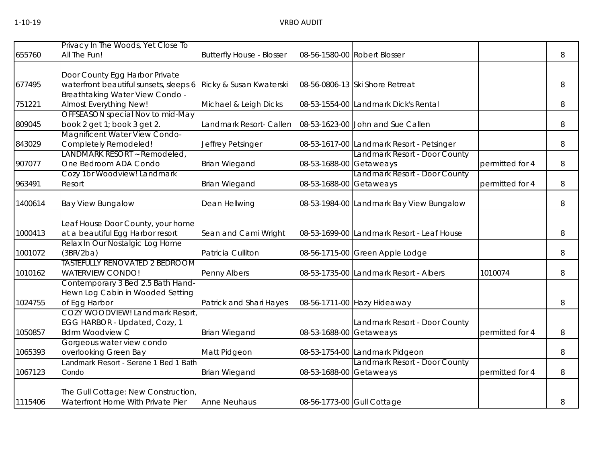|         | Privacy In The Woods, Yet Close To                                    |                                  |                            |                                            |                 |   |
|---------|-----------------------------------------------------------------------|----------------------------------|----------------------------|--------------------------------------------|-----------------|---|
| 655760  | All The Fun!                                                          | <b>Butterfly House - Blosser</b> |                            | 08-56-1580-00 Robert Blosser               |                 | 8 |
|         |                                                                       |                                  |                            |                                            |                 |   |
|         | Door County Egg Harbor Private                                        |                                  |                            |                                            |                 |   |
| 677495  | waterfront beautiful sunsets, sleeps 6                                | Ricky & Susan Kwaterski          |                            | 08-56-0806-13 Ski Shore Retreat            |                 | 8 |
|         | Breathtaking Water View Condo -                                       |                                  |                            |                                            |                 |   |
| 751221  | Almost Everything New!                                                | Michael & Leigh Dicks            |                            | 08-53-1554-00 Landmark Dick's Rental       |                 | 8 |
|         | OFFSEASON special Nov to mid-May                                      |                                  |                            |                                            |                 |   |
| 809045  | book 2 get 1; book 3 get 2.                                           | Landmark Resort- Callen          |                            | 08-53-1623-00 John and Sue Callen          |                 | 8 |
|         | Magnificent Water View Condo-                                         |                                  |                            |                                            |                 |   |
| 843029  | Completely Remodeled!                                                 | Jeffrey Petsinger                |                            | 08-53-1617-00 Landmark Resort - Petsinger  |                 | 8 |
|         | LANDMARK RESORT ~ Remodeled,                                          |                                  |                            | Landmark Resort - Door County              |                 |   |
| 907077  | One Bedroom ADA Condo                                                 | <b>Brian Wiegand</b>             | 08-53-1688-00 Getaweays    |                                            | permitted for 4 | 8 |
|         | Cozy 1br Woodview! Landmark                                           |                                  |                            | Landmark Resort - Door County              |                 |   |
| 963491  | Resort                                                                | <b>Brian Wiegand</b>             | 08-53-1688-00 Getaweays    |                                            | permitted for 4 | 8 |
|         |                                                                       |                                  |                            |                                            |                 |   |
| 1400614 | <b>Bay View Bungalow</b>                                              | Dean Hellwing                    |                            | 08-53-1984-00 Landmark Bay View Bungalow   |                 | 8 |
|         |                                                                       |                                  |                            |                                            |                 |   |
|         | Leaf House Door County, your home<br>at a beautiful Egg Harbor resort |                                  |                            | 08-53-1699-00 Landmark Resort - Leaf House |                 |   |
| 1000413 | Relax In Our Nostalgic Log Home                                       | Sean and Cami Wright             |                            |                                            |                 | 8 |
| 1001072 | (3BR/2ba)                                                             | Patricia Culliton                |                            | 08-56-1715-00 Green Apple Lodge            |                 | 8 |
|         | <b>TASTEFULLY RENOVATED 2 BEDROOM</b>                                 |                                  |                            |                                            |                 |   |
| 1010162 | <b>WATERVIEW CONDO!</b>                                               | Penny Albers                     |                            | 08-53-1735-00 Landmark Resort - Albers     | 1010074         | 8 |
|         | Contemporary 3 Bed 2.5 Bath Hand-                                     |                                  |                            |                                            |                 |   |
|         | Hewn Log Cabin in Wooded Setting                                      |                                  |                            |                                            |                 |   |
| 1024755 | of Egg Harbor                                                         | Patrick and Shari Hayes          |                            | 08-56-1711-00 Hazy Hideaway                |                 | 8 |
|         | COZY WOODVIEW! Landmark Resort,                                       |                                  |                            |                                            |                 |   |
|         | EGG HARBOR - Updated, Cozy, 1                                         |                                  |                            | Landmark Resort - Door County              |                 |   |
| 1050857 | <b>Bdrm Woodview C</b>                                                | <b>Brian Wiegand</b>             | 08-53-1688-00 Getaweays    |                                            | permitted for 4 | 8 |
|         | Gorgeous water view condo                                             |                                  |                            |                                            |                 |   |
| 1065393 | overlooking Green Bay                                                 | Matt Pidgeon                     |                            | 08-53-1754-00 Landmark Pidgeon             |                 | 8 |
|         | Landmark Resort - Serene 1 Bed 1 Bath                                 |                                  |                            | Landmark Resort - Door County              |                 |   |
| 1067123 | Condo                                                                 | <b>Brian Wiegand</b>             | 08-53-1688-00 Getaweays    |                                            | permitted for 4 | 8 |
|         |                                                                       |                                  |                            |                                            |                 |   |
|         | The Gull Cottage: New Construction,                                   |                                  |                            |                                            |                 |   |
| 1115406 | Waterfront Home With Private Pier                                     | <b>Anne Neuhaus</b>              | 08-56-1773-00 Gull Cottage |                                            |                 | 8 |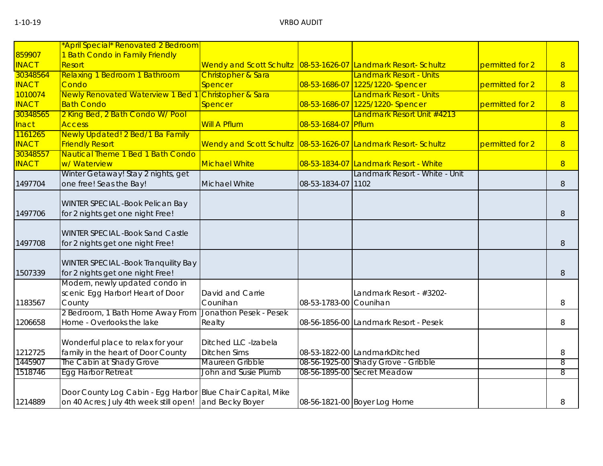|              | *April Special* Renovated 2 Bedroom                         |                                                                |                        |                                                                         |                 |   |
|--------------|-------------------------------------------------------------|----------------------------------------------------------------|------------------------|-------------------------------------------------------------------------|-----------------|---|
| 859907       | 1 Bath Condo in Family Friendly                             |                                                                |                        |                                                                         |                 |   |
| <b>INACT</b> | Resort                                                      | Wendy and Scott Schultz 08-53-1626-07 Landmark Resort- Schultz |                        |                                                                         | permitted for 2 | 8 |
| 30348564     | <b>Relaxing 1 Bedroom 1 Bathroom</b>                        | Christopher & Sara                                             |                        | Landmark Resort - Units                                                 |                 |   |
| <b>INACT</b> | Condo                                                       | <b>Spencer</b>                                                 |                        | 08-53-1686-07 1225/1220- Spencer                                        | permitted for 2 | 8 |
| 1010074      | <b>Newly Renovated Waterview 1 Bed 1</b>                    | Christopher & Sara                                             |                        | <b>Landmark Resort - Units</b>                                          |                 |   |
| <b>INACT</b> | <b>Bath Condo</b>                                           |                                                                |                        |                                                                         |                 |   |
| 30348565     |                                                             | Spencer                                                        |                        | 08-53-1686-07 1225/1220- Spencer<br>Landmark Resort Unit #4213          | permitted for 2 | 8 |
|              | 2 King Bed, 2 Bath Condo W/ Pool<br><b>Access</b>           | <b>Will A Pflum</b>                                            | 08-53-1684-07 Pflum    |                                                                         |                 |   |
| <b>Inact</b> | Newly Updated! 2 Bed/1 Ba Family                            |                                                                |                        |                                                                         |                 | 8 |
| 1161265      |                                                             |                                                                |                        |                                                                         |                 |   |
| <b>INACT</b> | <b>Friendly Resort</b>                                      | Wendy and Scott Schultz 08-53-1626-07 Landmark Resort- Schultz |                        |                                                                         | permitted for 2 | 8 |
| 30348557     | Nautical Theme 1 Bed 1 Bath Condo<br>w/ Waterview           | <b>Michael White</b>                                           |                        |                                                                         |                 |   |
| <b>INACT</b> | Winter Getaway! Stay 2 nights, get                          |                                                                |                        | 08-53-1834-07 Landmark Resort - White<br>Landmark Resort - White - Unit |                 | 8 |
| 1497704      |                                                             | Michael White                                                  |                        |                                                                         |                 |   |
|              | one free! Seas the Bay!                                     |                                                                | 08-53-1834-07 1102     |                                                                         |                 | 8 |
|              |                                                             |                                                                |                        |                                                                         |                 |   |
|              | WINTER SPECIAL - Book Pelican Bay                           |                                                                |                        |                                                                         |                 |   |
| 1497706      | for 2 nights get one night Free!                            |                                                                |                        |                                                                         |                 | 8 |
|              |                                                             |                                                                |                        |                                                                         |                 |   |
| 1497708      | <b>WINTER SPECIAL -Book Sand Castle</b>                     |                                                                |                        |                                                                         |                 |   |
|              | for 2 nights get one night Free!                            |                                                                |                        |                                                                         |                 | 8 |
|              |                                                             |                                                                |                        |                                                                         |                 |   |
|              | <b>WINTER SPECIAL -Book Tranquility Bay</b>                 |                                                                |                        |                                                                         |                 |   |
| 1507339      | for 2 nights get one night Free!                            |                                                                |                        |                                                                         |                 | 8 |
|              | Modern, newly updated condo in                              |                                                                |                        |                                                                         |                 |   |
|              | scenic Egg Harbor! Heart of Door                            | David and Carrie                                               |                        | Landmark Resort - #3202-                                                |                 |   |
| 1183567      | County                                                      | Counihan                                                       | 08-53-1783-00 Counihan |                                                                         |                 | 8 |
|              | 2 Bedroom, 1 Bath Home Away From                            | Jonathon Pesek - Pesek                                         |                        |                                                                         |                 |   |
| 1206658      | Home - Overlooks the lake                                   | Realty                                                         |                        | 08-56-1856-00 Landmark Resort - Pesek                                   |                 | 8 |
|              |                                                             |                                                                |                        |                                                                         |                 |   |
|              | Wonderful place to relax for your                           | Ditched LLC -Izabela                                           |                        |                                                                         |                 |   |
| 1212725      | family in the heart of Door County                          | <b>Ditchen Sims</b>                                            |                        | 08-53-1822-00 LandmarkDitched                                           |                 | 8 |
| 1445907      | The Cabin at Shady Grove                                    | Maureen Gribble                                                |                        | 08-56-1925-00 Shady Grove - Gribble                                     |                 | 8 |
| 1518746      | Egg Harbor Retreat                                          | John and Susie Plumb                                           |                        | 08-56-1895-00 Secret Meadow                                             |                 | 8 |
|              |                                                             |                                                                |                        |                                                                         |                 |   |
|              | Door County Log Cabin - Egg Harbor Blue Chair Capital, Mike |                                                                |                        |                                                                         |                 |   |
| 1214889      | on 40 Acres; July 4th week still open! and Becky Boyer      |                                                                |                        | 08-56-1821-00 Boyer Log Home                                            |                 | 8 |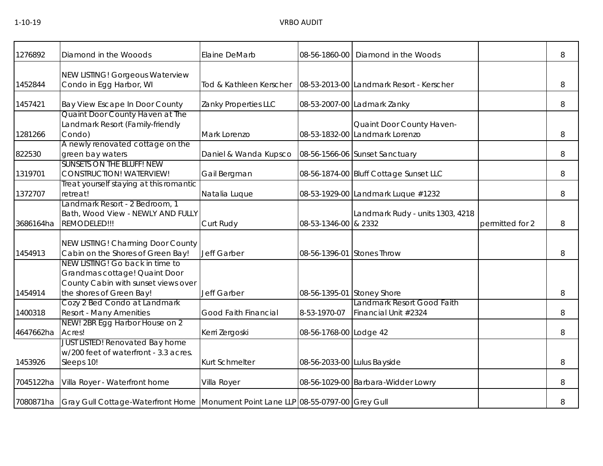| 1276892   | Diamond in the Wooods                                                                                                               | Elaine DeMarb           | 08-56-1860-00               | Diamond in the Woods                                        |                 | 8 |
|-----------|-------------------------------------------------------------------------------------------------------------------------------------|-------------------------|-----------------------------|-------------------------------------------------------------|-----------------|---|
| 1452844   | <b>NEW LISTING! Gorgeous Waterview</b><br>Condo in Egg Harbor, WI                                                                   | Tod & Kathleen Kerscher |                             | 08-53-2013-00 Landmark Resort - Kerscher                    |                 | 8 |
| 1457421   | Bay View Escape In Door County                                                                                                      | Zanky Properties LLC    |                             | 08-53-2007-00 Ladmark Zanky                                 |                 | 8 |
| 1281266   | Quaint Door County Haven at The<br>Landmark Resort (Family-friendly<br>Condo)                                                       | Mark Lorenzo            |                             | Quaint Door County Haven-<br>08-53-1832-00 Landmark Lorenzo |                 | 8 |
| 822530    | A newly renovated cottage on the<br>green bay waters                                                                                | Daniel & Wanda Kupsco   |                             | 08-56-1566-06 Sunset Sanctuary                              |                 | 8 |
| 1319701   | <b>SUNSETS ON THE BLUFF! NEW</b><br><b>CONSTRUCTION! WATERVIEW!</b>                                                                 | Gail Bergman            |                             | 08-56-1874-00 Bluff Cottage Sunset LLC                      |                 | 8 |
| 1372707   | Treat yourself staying at this romantic<br>retreat!                                                                                 | Natalia Luque           |                             | 08-53-1929-00 Landmark Luque #1232                          |                 | 8 |
| 3686164ha | Landmark Resort - 2 Bedroom, 1<br>Bath, Wood View - NEWLY AND FULLY<br>REMODELED!!!                                                 | Curt Rudy               | 08-53-1346-00 & 2332        | Landmark Rudy - units 1303, 4218                            | permitted for 2 | 8 |
| 1454913   | NEW LISTING! Charming Door County<br>Cabin on the Shores of Green Bay!                                                              | <b>Jeff Garber</b>      | 08-56-1396-01 Stones Throw  |                                                             |                 | 8 |
| 1454914   | NEW LISTING! Go back in time to<br>Grandmas cottage! Quaint Door<br>County Cabin with sunset views over<br>the shores of Green Bay! | <b>Jeff Garber</b>      | 08-56-1395-01 Stoney Shore  |                                                             |                 | 8 |
| 1400318   | Cozy 2 Bed Condo at Landmark<br><b>Resort - Many Amenities</b>                                                                      | Good Faith Financial    | 8-53-1970-07                | Landmark Resort Good Faith<br>Financial Unit #2324          |                 | 8 |
| 4647662ha | NEW! 2BR Egg Harbor House on 2<br>Acres!                                                                                            | Kerri Zergoski          | 08-56-1768-00 Lodge 42      |                                                             |                 | 8 |
| 1453926   | <b>JUST LISTED! Renovated Bay home</b><br>w/200 feet of waterfront - 3.3 acres.<br>Sleeps 10!                                       | <b>Kurt Schmelter</b>   | 08-56-2033-00 Lulus Bayside |                                                             |                 | 8 |
| 7045122ha | Villa Royer - Waterfront home                                                                                                       | Villa Royer             |                             | 08-56-1029-00 Barbara-Widder Lowry                          |                 | 8 |
|           | 7080871ha Gray Gull Cottage-Waterfront Home Monument Point Lane LLP 08-55-0797-00 Grey Gull                                         |                         |                             |                                                             |                 | 8 |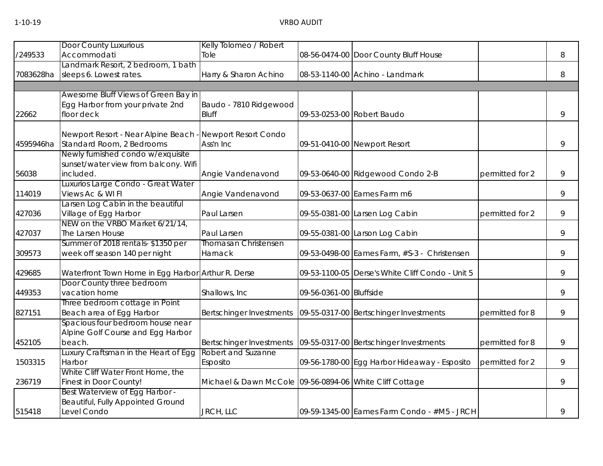|           | <b>Door County Luxurious</b>                       | Kelly Tolomeo / Robert                                  |                         |                                                  |                 |   |
|-----------|----------------------------------------------------|---------------------------------------------------------|-------------------------|--------------------------------------------------|-----------------|---|
| /249533   | Accommodati                                        | Tole                                                    |                         | 08-56-0474-00 Door County Bluff House            |                 | 8 |
|           | Landmark Resort, 2 bedroom, 1 bath                 |                                                         |                         |                                                  |                 |   |
| 7083628ha | sleeps 6. Lowest rates.                            | Harry & Sharon Achino                                   |                         | 08-53-1140-00 Achino - Landmark                  |                 | 8 |
|           |                                                    |                                                         |                         |                                                  |                 |   |
|           | Awesome Bluff Views of Green Bay in                |                                                         |                         |                                                  |                 |   |
|           | Egg Harbor from your private 2nd                   | Baudo - 7810 Ridgewood                                  |                         |                                                  |                 |   |
| 22662     | floor deck                                         | <b>Bluff</b>                                            |                         | 09-53-0253-00 Robert Baudo                       |                 | 9 |
|           | Newport Resort - Near Alpine Beach -               | Newport Resort Condo                                    |                         |                                                  |                 |   |
| 4595946ha | Standard Room, 2 Bedrooms                          | Ass'n Inc                                               |                         | 09-51-0410-00 Newport Resort                     |                 | 9 |
|           | Newly furnished condo w/exquisite                  |                                                         |                         |                                                  |                 |   |
|           | sunset/water view from balcony. Wifi               |                                                         |                         |                                                  |                 |   |
| 56038     | included.                                          | Angie Vandenavond                                       |                         | 09-53-0640-00 Ridgewood Condo 2-B                | permitted for 2 | 9 |
|           | Luxurios Large Condo - Great Water                 |                                                         |                         |                                                  |                 |   |
| 114019    | Views Ac & WI FI                                   | Angie Vandenavond                                       |                         | 09-53-0637-00 Eames Farm m6                      |                 | 9 |
|           | Larsen Log Cabin in the beautiful                  |                                                         |                         |                                                  |                 |   |
| 427036    | Village of Egg Harbor                              | Paul Larsen                                             |                         | 09-55-0381-00 Larsen Log Cabin                   | permitted for 2 | 9 |
|           | NEW on the VRBO Market 6/21/14,                    |                                                         |                         |                                                  |                 |   |
| 427037    | The Larsen House                                   | Paul Larsen                                             |                         | 09-55-0381-00 Larson Log Cabin                   |                 | 9 |
|           | Summer of 2018 rentals-\$1350 per                  | <b>Thomasan Christensen</b>                             |                         |                                                  |                 |   |
| 309573    | week off season 140 per night                      | Harnack                                                 |                         | 09-53-0498-00 Eames Farm, #S-3 - Christensen     |                 | 9 |
| 429685    | Waterfront Town Home in Egg Harbor Arthur R. Derse |                                                         |                         | 09-53-1100-05 Derse's White Cliff Condo - Unit 5 |                 | 9 |
|           | Door County three bedroom                          |                                                         |                         |                                                  |                 |   |
| 449353    | vacation home                                      | Shallows, Inc                                           | 09-56-0361-00 Bluffside |                                                  |                 | 9 |
|           | Three bedroom cottage in Point                     |                                                         |                         |                                                  |                 |   |
| 827151    | Beach area of Egg Harbor                           | Bertschinger Investments                                |                         | 09-55-0317-00 Bertschinger Investments           | permitted for 8 | 9 |
|           | Spacious four bedroom house near                   |                                                         |                         |                                                  |                 |   |
|           | Alpine Golf Course and Egg Harbor                  |                                                         |                         |                                                  |                 |   |
| 452105    | beach.                                             | Bertschinger Investments                                |                         | 09-55-0317-00 Bertschinger Investments           | permitted for 8 | 9 |
|           | Luxury Craftsman in the Heart of Egg               | Robert and Suzanne                                      |                         |                                                  |                 |   |
| 1503315   | Harbor                                             | Esposito                                                |                         | 09-56-1780-00 Egg Harbor Hideaway - Esposito     | permitted for 2 | 9 |
|           | White Cliff Water Front Home, the                  |                                                         |                         |                                                  |                 |   |
| 236719    | Finest in Door County!                             | Michael & Dawn McCole 09-56-0894-06 White Cliff Cottage |                         |                                                  |                 | 9 |
|           | Best Waterview of Egg Harbor -                     |                                                         |                         |                                                  |                 |   |
|           | Beautiful, Fully Appointed Ground                  |                                                         |                         |                                                  |                 |   |
| 515418    | Level Condo                                        | JRCH, LLC                                               |                         | 09-59-1345-00 Eames Farm Condo - #M5 - JRCH      |                 | 9 |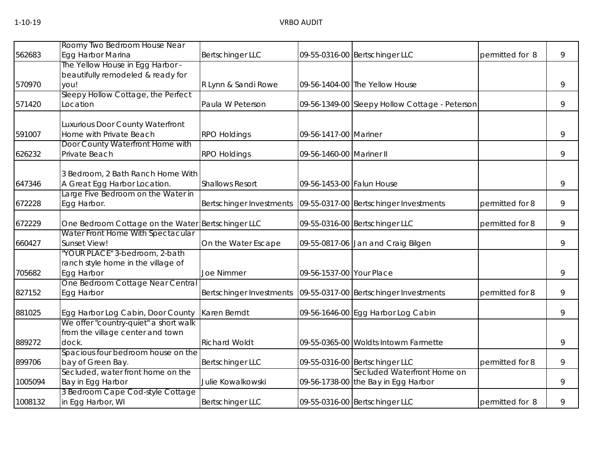| 562683  | Roomy Two Bedroom House Near<br>Egg Harbor Marina                                                                      | Bertschinger LLC         |                           | 09-55-0316-00 Bertschinger LLC                                     | permitted for 8 | 9 |
|---------|------------------------------------------------------------------------------------------------------------------------|--------------------------|---------------------------|--------------------------------------------------------------------|-----------------|---|
| 570970  | The Yellow House in Egg Harbor -<br>beautifully remodeled & ready for<br>you!                                          | R Lynn & Sandi Rowe      |                           | 09-56-1404-00 The Yellow House                                     |                 | 9 |
| 571420  | Sleepy Hollow Cottage, the Perfect<br>Location                                                                         | Paula W Peterson         |                           | 09-56-1349-00 Sleepy Hollow Cottage - Peterson                     |                 | 9 |
| 591007  | Luxurious Door County Waterfront<br>Home with Private Beach                                                            | <b>RPO Holdings</b>      | 09-56-1417-00 Mariner     |                                                                    |                 | 9 |
| 626232  | Door County Waterfront Home with<br>Private Beach                                                                      | <b>RPO Holdings</b>      | 09-56-1460-00 Mariner II  |                                                                    |                 | 9 |
| 647346  | 3 Bedroom, 2 Bath Ranch Home With<br>A Great Egg Harbor Location.                                                      | <b>Shallows Resort</b>   | 09-56-1453-00 Falun House |                                                                    |                 | 9 |
| 672228  | arge Five Bedroom on the Water in<br>Egg Harbor.                                                                       | Bertschinger Investments |                           | 09-55-0317-00 Bertschinger Investments                             | permitted for 8 | 9 |
| 672229  | One Bedroom Cottage on the Water Bertschinger LLC                                                                      |                          |                           | 09-55-0316-00 Bertschinger LLC                                     | permitted for 8 | 9 |
| 660427  | Water Front Home With Spectacular<br>Sunset View!                                                                      | On the Water Escape      |                           | 09-55-0817-06 Jan and Craig Bilgen                                 |                 | 9 |
| 705682  | "YOUR PLACE" 3-bedroom, 2-bath<br>ranch style home in the village of<br>Egg Harbor<br>One Bedroom Cottage Near Central | <b>Joe Nimmer</b>        | 09-56-1537-00 Your Place  |                                                                    |                 | 9 |
| 827152  | Egg Harbor                                                                                                             | Bertschinger Investments |                           | 09-55-0317-00 Bertschinger Investments                             | permitted for 8 | 9 |
| 881025  | Egg Harbor Log Cabin, Door County                                                                                      | Karen Berndt             |                           | 09-56-1646-00 Egg Harbor Log Cabin                                 |                 | 9 |
| 889272  | We offer "country-quiet" a short walk<br>from the village center and town<br>dock.                                     | <b>Richard Woldt</b>     |                           | 09-55-0365-00 Woldts Intowm Farmette                               |                 | 9 |
| 899706  | Spacious four bedroom house on the<br>bay of Green Bay.                                                                | <b>Bertschinger LLC</b>  |                           | 09-55-0316-00 Bertschinger LLC                                     | permitted for 8 | 9 |
| 1005094 | Secluded, water front home on the<br>Bay in Egg Harbor                                                                 | Julie Kowalkowski        |                           | Secluded Waterfront Home on<br>09-56-1738-00 the Bay in Egg Harbor |                 | 9 |
| 1008132 | 3 Bedroom Cape Cod-style Cottage<br>in Egg Harbor, WI                                                                  | <b>Bertschinger LLC</b>  |                           | 09-55-0316-00 Bertschinger LLC                                     | permitted for 8 | 9 |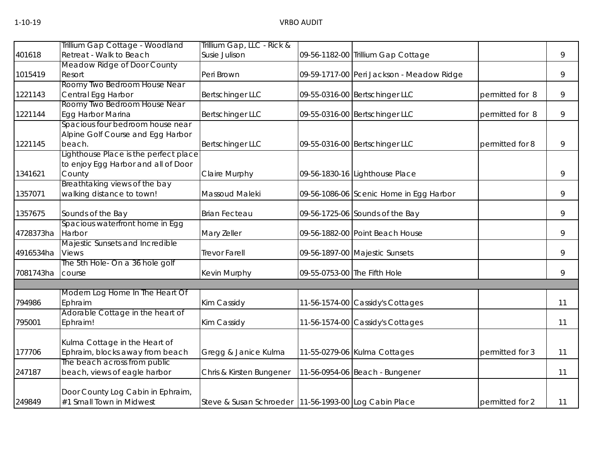|           | Trillium Gap Cottage - Woodland       | Trillium Gap, LLC - Rick &                              |                                           |                 |    |
|-----------|---------------------------------------|---------------------------------------------------------|-------------------------------------------|-----------------|----|
| 401618    | Retreat - Walk to Beach               | Susie Julison                                           | 09-56-1182-00 Trillium Gap Cottage        |                 | 9  |
|           | Meadow Ridge of Door County           |                                                         |                                           |                 |    |
| 1015419   | Resort                                | Peri Brown                                              | 09-59-1717-00 Peri Jackson - Meadow Ridge |                 | 9  |
|           | Roomy Two Bedroom House Near          |                                                         |                                           |                 |    |
| 1221143   | Central Egg Harbor                    | <b>Bertschinger LLC</b>                                 | 09-55-0316-00 Bertschinger LLC            | permitted for 8 | 9  |
|           | Roomy Two Bedroom House Near          |                                                         |                                           |                 |    |
| 1221144   | Egg Harbor Marina                     | <b>Bertschinger LLC</b>                                 | 09-55-0316-00 Bertschinger LLC            | permitted for 8 | 9  |
|           | Spacious four bedroom house near      |                                                         |                                           |                 |    |
|           | Alpine Golf Course and Egg Harbor     |                                                         |                                           |                 |    |
| 1221145   | beach.                                | <b>Bertschinger LLC</b>                                 | 09-55-0316-00 Bertschinger LLC            | permitted for 8 | 9  |
|           | Lighthouse Place is the perfect place |                                                         |                                           |                 |    |
|           | to enjoy Egg Harbor and all of Door   |                                                         |                                           |                 |    |
| 1341621   | County                                | <b>Claire Murphy</b>                                    | 09-56-1830-16 Lighthouse Place            |                 | 9  |
|           | Breathtaking views of the bay         |                                                         |                                           |                 |    |
| 1357071   | walking distance to town!             | Massoud Maleki                                          | 09-56-1086-06 Scenic Home in Egg Harbor   |                 | 9  |
| 1357675   | Sounds of the Bay                     | <b>Brian Fecteau</b>                                    | 09-56-1725-06 Sounds of the Bay           |                 | 9  |
|           | Spacious waterfront home in Egg       |                                                         |                                           |                 |    |
| 4728373ha | Harbor                                | Mary Zeller                                             | 09-56-1882-00 Point Beach House           |                 | 9  |
|           | Majestic Sunsets and Incredible       |                                                         |                                           |                 |    |
| 4916534ha | Views                                 | <b>Trevor Farell</b>                                    | 09-56-1897-00 Majestic Sunsets            |                 | 9  |
|           | The 5th Hole- On a 36 hole golf       |                                                         |                                           |                 |    |
| 7081743ha | course                                | Kevin Murphy                                            | 09-55-0753-00 The Fifth Hole              |                 | 9  |
|           |                                       |                                                         |                                           |                 |    |
|           | Modern Log Home In The Heart Of       |                                                         |                                           |                 |    |
| 794986    | Ephraim                               | Kim Cassidy                                             | 11-56-1574-00 Cassidy's Cottages          |                 | 11 |
|           | Adorable Cottage in the heart of      |                                                         |                                           |                 |    |
| 795001    | Ephraim!                              | Kim Cassidy                                             | 11-56-1574-00 Cassidy's Cottages          |                 | 11 |
|           | Kulma Cottage in the Heart of         |                                                         |                                           |                 |    |
| 177706    | Ephraim, blocks away from beach       | Gregg & Janice Kulma                                    | 11-55-0279-06 Kulma Cottages              | permitted for 3 | 11 |
|           | The beach across from public          |                                                         |                                           |                 |    |
| 247187    | beach, views of eagle harbor          | Chris & Kirsten Bungener                                | 11-56-0954-06 Beach - Bungener            |                 | 11 |
|           |                                       |                                                         |                                           |                 |    |
|           | Door County Log Cabin in Ephraim,     |                                                         |                                           |                 |    |
| 249849    | #1 Small Town in Midwest              | Steve & Susan Schroeder   11-56-1993-00 Log Cabin Place |                                           | permitted for 2 | 11 |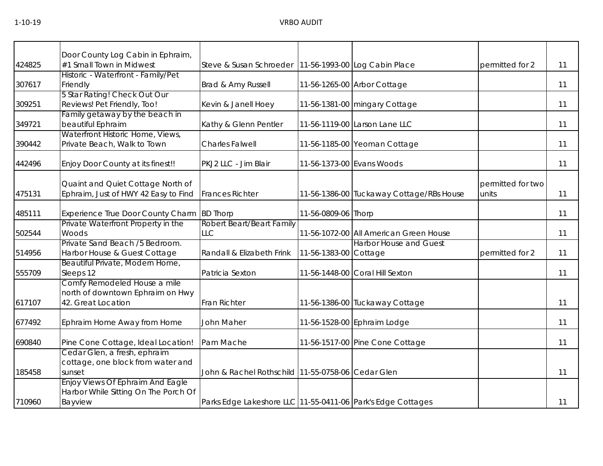|        | Door County Log Cabin in Ephraim,                                         |                                                             |                           |                                          |                            |    |
|--------|---------------------------------------------------------------------------|-------------------------------------------------------------|---------------------------|------------------------------------------|----------------------------|----|
| 424825 | #1 Small Town in Midwest                                                  | Steve & Susan Schroeder   11-56-1993-00 Log Cabin Place     |                           |                                          | permitted for 2            | 11 |
|        | Historic - Waterfront - Family/Pet                                        |                                                             |                           |                                          |                            |    |
| 307617 | Friendly                                                                  | Brad & Amy Russell                                          |                           | 11-56-1265-00 Arbor Cottage              |                            | 11 |
|        | 5 Star Rating! Check Out Our                                              |                                                             |                           |                                          |                            |    |
| 309251 | Reviews! Pet Friendly, Too!                                               | Kevin & Janell Hoey                                         |                           | 11-56-1381-00 mingary Cottage            |                            | 11 |
|        | Family getaway by the beach in<br>beautiful Ephraim                       |                                                             |                           |                                          |                            | 11 |
| 349721 | Waterfront Historic Home, Views,                                          | Kathy & Glenn Pentler                                       |                           | 11-56-1119-00 Larson Lane LLC            |                            |    |
| 390442 | Private Beach, Walk to Town                                               | <b>Charles Falwell</b>                                      |                           | 11-56-1185-00 Yeoman Cottage             |                            | 11 |
|        |                                                                           |                                                             |                           |                                          |                            |    |
| 442496 | Enjoy Door County at its finest!!                                         | PKJ2 LLC - Jim Blair                                        | 11-56-1373-00 Evans Woods |                                          |                            | 11 |
|        |                                                                           |                                                             |                           |                                          |                            |    |
|        | Quaint and Quiet Cottage North of<br>Ephraim, Just of HWY 42 Easy to Find | <b>Frances Richter</b>                                      |                           | 11-56-1386-00 Tuckaway Cottage/RBs House | permitted for two<br>units | 11 |
| 475131 |                                                                           |                                                             |                           |                                          |                            |    |
| 485111 | Experience True Door County Charm BD Thorp                                |                                                             | 11-56-0809-06 Thorp       |                                          |                            | 11 |
|        | Private Waterfront Property in the                                        | Robert Beart/Beart Family                                   |                           |                                          |                            |    |
| 502544 | Woods                                                                     | <b>LLC</b>                                                  |                           | 11-56-1072-00 All American Green House   |                            | 11 |
|        | Private Sand Beach /5 Bedroom.                                            |                                                             |                           | <b>Harbor House and Guest</b>            |                            |    |
| 514956 | Harbor House & Guest Cottage                                              | Randall & Elizabeth Frink                                   | 11-56-1383-00 Cottage     |                                          | permitted for 2            | 11 |
|        | Beautiful Private, Modern Home,                                           |                                                             |                           |                                          |                            |    |
| 555709 | Sleeps 12                                                                 | Patricia Sexton                                             |                           | 11-56-1448-00 Coral Hill Sexton          |                            | 11 |
|        | Comfy Remodeled House a mile                                              |                                                             |                           |                                          |                            |    |
|        | north of downtown Ephraim on Hwy<br>42. Great Location                    |                                                             |                           |                                          |                            |    |
| 617107 |                                                                           | Fran Richter                                                |                           | 11-56-1386-00 Tuckaway Cottage           |                            | 11 |
| 677492 | Ephraim Home Away from Home                                               | John Maher                                                  |                           | 11-56-1528-00 Ephraim Lodge              |                            | 11 |
| 690840 | Pine Cone Cottage, Ideal Location!                                        | Pam Mache                                                   |                           | 11-56-1517-00 Pine Cone Cottage          |                            | 11 |
|        | Cedar Glen, a fresh, ephraim                                              |                                                             |                           |                                          |                            |    |
|        | cottage, one block from water and                                         |                                                             |                           |                                          |                            |    |
| 185458 | sunset                                                                    | John & Rachel Rothschild 11-55-0758-06 Cedar Glen           |                           |                                          |                            | 11 |
|        | <b>Enjoy Views Of Ephraim And Eagle</b>                                   |                                                             |                           |                                          |                            |    |
|        | Harbor While Sitting On The Porch Of                                      |                                                             |                           |                                          |                            |    |
| 710960 | Bayview                                                                   | Parks Edge Lakeshore LLC 11-55-0411-06 Park's Edge Cottages |                           |                                          |                            | 11 |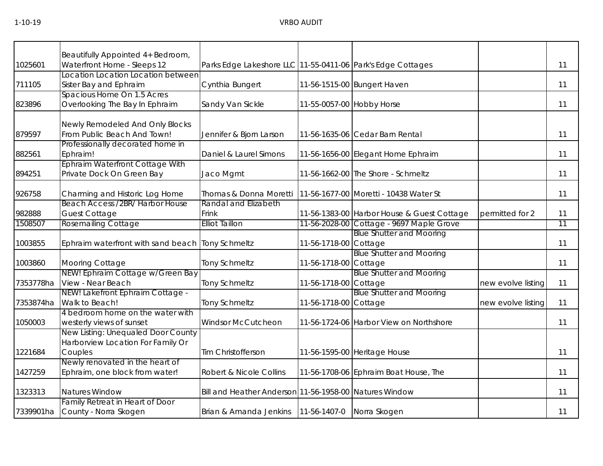|           | Beautifully Appointed 4+ Bedroom,                                        |                                                             |                           |                                            |                    |                 |
|-----------|--------------------------------------------------------------------------|-------------------------------------------------------------|---------------------------|--------------------------------------------|--------------------|-----------------|
| 1025601   | Waterfront Home - Sleeps 12                                              | Parks Edge Lakeshore LLC 11-55-0411-06 Park's Edge Cottages |                           |                                            |                    | 11              |
|           | Location Location Location between                                       |                                                             |                           |                                            |                    |                 |
| 711105    | Sister Bay and Ephraim                                                   | Cynthia Bungert                                             |                           | 11-56-1515-00 Bungert Haven                |                    | 11              |
|           | Spacious Home On 1.5 Acres                                               |                                                             |                           |                                            |                    |                 |
| 823896    | Overlooking The Bay In Ephraim                                           | Sandy Van Sickle                                            | 11-55-0057-00 Hobby Horse |                                            |                    | 11              |
|           | Newly Remodeled And Only Blocks                                          |                                                             |                           |                                            |                    |                 |
| 879597    | From Public Beach And Town!                                              | Jennifer & Bjorn Larson                                     |                           | 11-56-1635-06 Cedar Barn Rental            |                    | 11              |
|           | Professionally decorated home in                                         |                                                             |                           |                                            |                    |                 |
| 882561    | Ephraim!                                                                 | Daniel & Laurel Simons                                      |                           | 11-56-1656-00 Elegant Home Ephraim         |                    | 11              |
|           | Ephraim Waterfront Cottage With                                          |                                                             |                           |                                            |                    |                 |
| 894251    | Private Dock On Green Bay                                                | Jaco Mgmt                                                   |                           | 11-56-1662-00 The Shore - Schmeltz         |                    | 11              |
|           |                                                                          |                                                             |                           |                                            |                    |                 |
| 926758    | Charming and Historic Log Home<br><b>Beach Access /2BR/ Harbor House</b> | Thomas & Donna Moretti<br>Randal and Elizabeth              |                           | 11-56-1677-00 Moretti - 10438 Water St     |                    | 11              |
| 982888    | <b>Guest Cottage</b>                                                     | Frink                                                       |                           | 11-56-1383-00 Harbor House & Guest Cottage | permitted for 2    | 11              |
| 1508507   | <b>Rosemailing Cottage</b>                                               | <b>Elliot Taillon</b>                                       |                           | 11-56-2028-00 Cottage - 9697 Maple Grove   |                    | $\overline{11}$ |
|           |                                                                          |                                                             |                           | <b>Blue Shutter and Mooring</b>            |                    |                 |
| 1003855   | Ephraim waterfront with sand beach Tony Schmeltz                         |                                                             | 11-56-1718-00 Cottage     |                                            |                    | 11              |
|           |                                                                          |                                                             |                           | <b>Blue Shutter and Mooring</b>            |                    |                 |
| 1003860   | Mooring Cottage                                                          | <b>Tony Schmeltz</b>                                        | 11-56-1718-00 Cottage     |                                            |                    | 11              |
|           | NEW! Ephraim Cottage w/Green Bay                                         |                                                             |                           | <b>Blue Shutter and Mooring</b>            |                    |                 |
| 7353778ha | View - Near Beach                                                        | <b>Tony Schmeltz</b>                                        | 11-56-1718-00 Cottage     |                                            | new evolve listing | 11              |
|           | NEW! Lakefront Ephraim Cottage -                                         |                                                             |                           | <b>Blue Shutter and Mooring</b>            |                    |                 |
| 7353874ha | Walk to Beach!                                                           | <b>Tony Schmeltz</b>                                        | 11-56-1718-00 Cottage     |                                            | new evolve listing | 11              |
| 1050003   | 4 bedroom home on the water with<br>westerly views of sunset             | <b>Windsor McCutcheon</b>                                   |                           | 11-56-1724-06 Harbor View on Northshore    |                    | 11              |
|           | New Listing: Unequaled Door County                                       |                                                             |                           |                                            |                    |                 |
|           | Harborview Location For Family Or                                        |                                                             |                           |                                            |                    |                 |
| 1221684   | Couples                                                                  | Tim Christofferson                                          |                           | 11-56-1595-00 Heritage House               |                    | 11              |
|           | Newly renovated in the heart of                                          |                                                             |                           |                                            |                    |                 |
| 1427259   | Ephraim, one block from water!                                           | Robert & Nicole Collins                                     |                           | 11-56-1708-06 Ephraim Boat House, The      |                    | 11              |
| 1323313   | Natures Window                                                           | Bill and Heather Anderson 11-56-1958-00 Natures Window      |                           |                                            |                    | 11              |
|           | Family Retreat in Heart of Door                                          |                                                             |                           |                                            |                    |                 |
| 7339901ha | County - Norra Skogen                                                    | Brian & Amanda Jenkins   11-56-1407-0                       |                           | Norra Skogen                               |                    | 11              |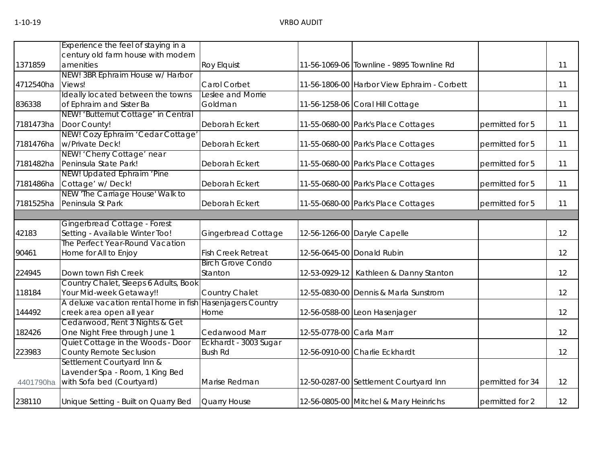|           | Experience the feel of staying in a   |                            |                          |                                             |                  |    |
|-----------|---------------------------------------|----------------------------|--------------------------|---------------------------------------------|------------------|----|
|           | century old farm house with modern    |                            |                          |                                             |                  |    |
| 1371859   | amenities                             | <b>Roy Elquist</b>         |                          | 11-56-1069-06 Townline - 9895 Townline Rd   |                  | 11 |
|           | NEW! 3BR Ephraim House w/ Harbor      |                            |                          |                                             |                  |    |
| 4712540ha | Views!                                | Carol Corbet               |                          | 11-56-1806-00 Harbor View Ephraim - Corbett |                  | 11 |
|           | Ideally located between the towns     | Leslee and Morrie          |                          |                                             |                  |    |
| 836338    | of Ephraim and Sister Ba              | Goldman                    |                          | 11-56-1258-06 Coral Hill Cottage            |                  | 11 |
|           | NEW! 'Butternut Cottage' in Central   |                            |                          |                                             |                  |    |
| 7181473ha | Door County!                          | Deborah Eckert             |                          | 11-55-0680-00 Park's Place Cottages         | permitted for 5  | 11 |
|           | NEW! Cozy Ephraim 'Cedar Cottage'     |                            |                          |                                             |                  |    |
| 7181476ha | w/Private Deck!                       | Deborah Eckert             |                          | 11-55-0680-00 Park's Place Cottages         | permitted for 5  | 11 |
|           | NEW! 'Cherry Cottage' near            |                            |                          |                                             |                  |    |
| 7181482ha | Peninsula State Park!                 | Deborah Eckert             |                          | 11-55-0680-00 Park's Place Cottages         | permitted for 5  | 11 |
|           | NEW! Updated Ephraim 'Pine            |                            |                          |                                             |                  |    |
| 7181486ha | Cottage' w/ Deck!                     | Deborah Eckert             |                          | 11-55-0680-00 Park's Place Cottages         | permitted for 5  | 11 |
|           | NEW 'The Carriage House' Walk to      |                            |                          |                                             |                  |    |
| 7181525ha | Peninsula St Park                     | Deborah Eckert             |                          | 11-55-0680-00 Park's Place Cottages         | permitted for 5  | 11 |
|           |                                       |                            |                          |                                             |                  |    |
|           | Gingerbread Cottage - Forest          |                            |                          |                                             |                  |    |
| 42183     | Setting - Available Winter Too!       | <b>Gingerbread Cottage</b> |                          | 12-56-1266-00 Daryle Capelle                |                  | 12 |
|           | The Perfect Year-Round Vacation       |                            |                          |                                             |                  |    |
| 90461     | Home for All to Enjoy                 | <b>Fish Creek Retreat</b>  |                          | 12-56-0645-00 Donald Rubin                  |                  | 12 |
|           |                                       | <b>Birch Grove Condo</b>   |                          |                                             |                  |    |
| 224945    | Down town Fish Creek                  | Stanton                    |                          | 12-53-0929-12   Kathleen & Danny Stanton    |                  | 12 |
|           | Country Chalet, Sleeps 6 Adults, Book |                            |                          |                                             |                  |    |
| 118184    | Your Mid-week Getaway!!               | Country Chalet             |                          | 12-55-0830-00 Dennis & Marla Sunstrom       |                  | 12 |
|           | A deluxe vacation rental home in fish | <b>Hasenjagers Country</b> |                          |                                             |                  |    |
| 144492    | creek area open all year              | Home                       |                          | 12-56-0588-00 Leon Hasenjager               |                  | 12 |
|           | Cedarwood, Rent 3 Nights & Get        |                            |                          |                                             |                  |    |
| 182426    | One Night Free through June 1         | Cedarwood Marr             | 12-55-0778-00 Carla Marr |                                             |                  | 12 |
|           | Quiet Cottage in the Woods - Door     | Eckhardt - 3003 Sugar      |                          |                                             |                  |    |
| 223983    | County Remote Seclusion               | <b>Bush Rd</b>             |                          | 12-56-0910-00 Charlie Eckhardt              |                  | 12 |
|           | Settlement Courtyard Inn &            |                            |                          |                                             |                  |    |
|           | Lavender Spa - Room, 1 King Bed       |                            |                          |                                             |                  |    |
| 4401790ha | with Sofa bed (Courtyard)             | Marise Redman              |                          | 12-50-0287-00 Settlement Courtyard Inn      | permitted for 34 | 12 |
| 238110    | Unique Setting - Built on Quarry Bed  | Quarry House               |                          | 12-56-0805-00 Mitchel & Mary Heinrichs      | permitted for 2  | 12 |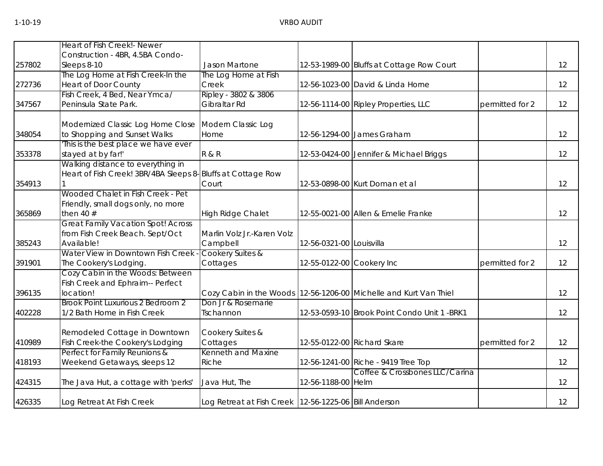|        | Heart of Fish Creek!- Newer                                 |                                                           |                           |                                                                     |                 |    |
|--------|-------------------------------------------------------------|-----------------------------------------------------------|---------------------------|---------------------------------------------------------------------|-----------------|----|
|        | Construction - 4BR, 4.5BA Condo-                            |                                                           |                           |                                                                     |                 |    |
| 257802 | Sleeps 8-10                                                 | Jason Martone                                             |                           | 12-53-1989-00 Bluffs at Cottage Row Court                           |                 | 12 |
|        | The Log Home at Fish Creek-In the                           | The Log Home at Fish                                      |                           |                                                                     |                 |    |
| 272736 | <b>Heart of Door County</b>                                 | Creek                                                     |                           | 12-56-1023-00 David & Linda Horne                                   |                 | 12 |
|        | Fish Creek, 4 Bed, Near Ymca/                               | Ripley - 3802 & 3806                                      |                           |                                                                     |                 |    |
| 347567 | Peninsula State Park.                                       | Gibraltar Rd                                              |                           | 12-56-1114-00 Ripley Properties, LLC                                | permitted for 2 | 12 |
|        | Modernized Classic Log Home Close                           | Modern Classic Log                                        |                           |                                                                     |                 |    |
| 348054 | to Shopping and Sunset Walks                                | Home                                                      |                           | 12-56-1294-00 James Graham                                          |                 | 12 |
|        | This is the best place we have ever                         |                                                           |                           |                                                                     |                 |    |
| 353378 | stayed at by far!'                                          | <b>R &amp; R</b>                                          |                           | 12-53-0424-00 Jennifer & Michael Briggs                             |                 | 12 |
|        | Walking distance to everything in                           |                                                           |                           |                                                                     |                 |    |
|        | Heart of Fish Creek! 3BR/4BA Sleeps 8-Bluffs at Cottage Row |                                                           |                           |                                                                     |                 |    |
| 354913 |                                                             | Court                                                     |                           | 12-53-0898-00 Kurt Doman et al                                      |                 | 12 |
|        | Wooded Chalet in Fish Creek - Pet                           |                                                           |                           |                                                                     |                 |    |
| 365869 | Friendly, small dogs only, no more<br>then $40#$            | <b>High Ridge Chalet</b>                                  |                           | 12-55-0021-00 Allen & Emelie Franke                                 |                 | 12 |
|        | <b>Great Family Vacation Spot! Across</b>                   |                                                           |                           |                                                                     |                 |    |
|        | from Fish Creek Beach. Sept/Oct                             | Marlin Volz Jr.-Karen Volz                                |                           |                                                                     |                 |    |
| 385243 | Available!                                                  | Campbell                                                  | 12-56-0321-00 Louisvilla  |                                                                     |                 | 12 |
|        | Water View in Downtown Fish Creek                           | Cookery Suites &                                          |                           |                                                                     |                 |    |
| 391901 | The Cookery's Lodging.                                      | Cottages                                                  | 12-55-0122-00 Cookery Inc |                                                                     | permitted for 2 | 12 |
|        | Cozy Cabin in the Woods: Between                            |                                                           |                           |                                                                     |                 |    |
|        | Fish Creek and Ephraim-- Perfect                            |                                                           |                           |                                                                     |                 |    |
| 396135 | location!                                                   |                                                           |                           | Cozy Cabin in the Woods   12-56-1206-00 Michelle and Kurt Van Thiel |                 | 12 |
|        | Brook Point Luxurious 2 Bedroom 2                           | Don Jr & Rosemarie                                        |                           |                                                                     |                 |    |
| 402228 | 1/2 Bath Home in Fish Creek                                 | Tschannon                                                 |                           | 12-53-0593-10 Brook Point Condo Unit 1 -BRK1                        |                 | 12 |
|        | Remodeled Cottage in Downtown                               | Cookery Suites &                                          |                           |                                                                     |                 |    |
| 410989 | Fish Creek-the Cookery's Lodging                            | Cottages                                                  |                           | 12-55-0122-00 Richard Skare                                         | permitted for 2 | 12 |
|        | Perfect for Family Reunions &                               | Kenneth and Maxine                                        |                           |                                                                     |                 |    |
| 418193 | Weekend Getaways, sleeps 12                                 | Riche                                                     |                           | 12-56-1241-00 Riche - 9419 Tree Top                                 |                 | 12 |
|        |                                                             |                                                           |                           | Coffee & Crossbones LLC/Carina                                      |                 |    |
| 424315 | The Java Hut, a cottage with 'perks'                        | Java Hut, The                                             | 12-56-1188-00 Helm        |                                                                     |                 | 12 |
| 426335 | Log Retreat At Fish Creek                                   | Log Retreat at Fish Creek   12-56-1225-06   Bill Anderson |                           |                                                                     |                 | 12 |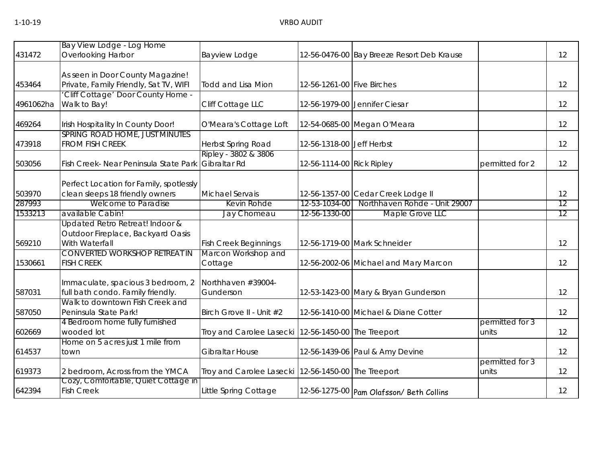|           | Bay View Lodge - Log Home                                                  |                                                     |                            |                                            |                 |    |
|-----------|----------------------------------------------------------------------------|-----------------------------------------------------|----------------------------|--------------------------------------------|-----------------|----|
| 431472    | <b>Overlooking Harbor</b>                                                  | Bayview Lodge                                       |                            | 12-56-0476-00 Bay Breeze Resort Deb Krause |                 | 12 |
|           |                                                                            |                                                     |                            |                                            |                 |    |
|           | As seen in Door County Magazine!                                           |                                                     |                            |                                            |                 |    |
| 453464    | Private, Family Friendly, Sat TV, WIFI                                     | <b>Todd and Lisa Mion</b>                           | 12-56-1261-00 Five Birches |                                            |                 | 12 |
|           | Cliff Cottage' Door County Home -                                          |                                                     |                            |                                            |                 |    |
| 4961062ha | Walk to Bay!                                                               | Cliff Cottage LLC                                   |                            | 12-56-1979-00 Jennifer Ciesar              |                 | 12 |
| 469264    | Irish Hospitality In County Door!                                          | O'Meara's Cottage Loft                              |                            | 12-54-0685-00 Megan O'Meara                |                 | 12 |
|           | SPRING ROAD HOME, JUST MINUTES                                             |                                                     |                            |                                            |                 |    |
| 473918    | <b>FROM FISH CREEK</b>                                                     | Herbst Spring Road                                  | 12-56-1318-00 Jeff Herbst  |                                            |                 | 12 |
|           |                                                                            | Ripley - 3802 & 3806                                |                            |                                            |                 |    |
| 503056    | Fish Creek- Near Peninsula State Park                                      | Gibraltar Rd                                        | 12-56-1114-00 Rick Ripley  |                                            | permitted for 2 | 12 |
|           |                                                                            |                                                     |                            |                                            |                 |    |
| 503970    | Perfect Location for Family, spotlessly<br>clean sleeps 18 friendly owners | <b>Michael Servais</b>                              |                            | 12-56-1357-00 Cedar Creek Lodge II         |                 | 12 |
| 287993    | Welcome to Paradise                                                        | Kevin Rohde                                         | 12-53-1034-00              | Northhaven Rohde - Unit 29007              |                 | 12 |
| 1533213   | available Cabin!                                                           | Jay Chomeau                                         | 12-56-1330-00              | Maple Grove LLC                            |                 | 12 |
|           | Updated Retro Retreat! Indoor &                                            |                                                     |                            |                                            |                 |    |
|           | Outdoor Fireplace, Backyard Oasis                                          |                                                     |                            |                                            |                 |    |
| 569210    | With Waterfall                                                             | <b>Fish Creek Beginnings</b>                        |                            | 12-56-1719-00 Mark Schneider               |                 | 12 |
|           | <b>CONVERTED WORKSHOP RETREAT IN</b>                                       | Marcon Workshop and                                 |                            |                                            |                 |    |
| 1530661   | <b>FISH CREEK</b>                                                          | Cottage                                             |                            | 12-56-2002-06 Michael and Mary Marcon      |                 | 12 |
|           |                                                                            |                                                     |                            |                                            |                 |    |
|           | Immaculate, spacious 3 bedroom, 2                                          | Northhaven #39004-                                  |                            |                                            |                 |    |
| 587031    | full bath condo. Family friendly.                                          | Gunderson                                           |                            | 12-53-1423-00 Mary & Bryan Gunderson       |                 | 12 |
|           | Walk to downtown Fish Creek and                                            |                                                     |                            |                                            |                 |    |
| 587050    | Peninsula State Park!                                                      | Birch Grove II - Unit #2                            |                            | 12-56-1410-00 Michael & Diane Cotter       |                 | 12 |
|           | 4 Bedroom home fully furnished                                             |                                                     |                            |                                            | permitted for 3 |    |
| 602669    | wooded lot                                                                 | Troy and Carolee Lasecki 12-56-1450-00 The Treeport |                            |                                            | units           | 12 |
|           | Home on 5 acres just 1 mile from                                           |                                                     |                            |                                            |                 |    |
| 614537    | town                                                                       | <b>Gibraltar House</b>                              |                            | 12-56-1439-06 Paul & Amy Devine            |                 | 12 |
|           |                                                                            |                                                     |                            |                                            | permitted for 3 |    |
| 619373    | 2 bedroom, Across from the YMCA                                            | Troy and Carolee Lasecki 12-56-1450-00 The Treeport |                            |                                            | units           | 12 |
| 642394    | Cozy, Comfortable, Quiet Cottage in<br><b>Fish Creek</b>                   | Little Spring Cottage                               |                            | 12-56-1275-00 Pam Olafsson/ Beth Collins   |                 | 12 |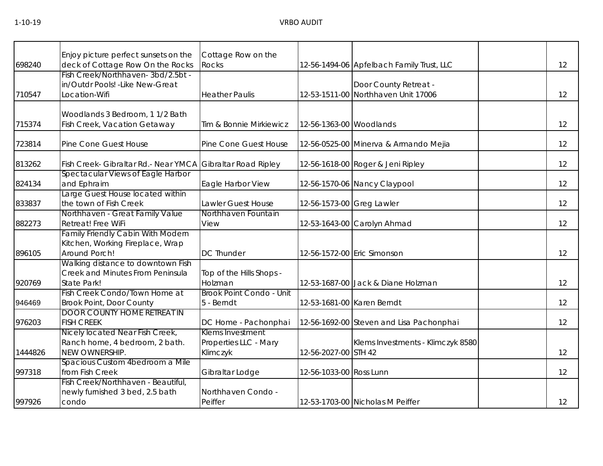| 698240  | Enjoy picture perfect sunsets on the<br>deck of Cottage Row On the Rocks                      | Cottage Row on the<br>Rocks                           |                           | 12-56-1494-06 Apfelbach Family Trust, LLC                    | 12                |
|---------|-----------------------------------------------------------------------------------------------|-------------------------------------------------------|---------------------------|--------------------------------------------------------------|-------------------|
| 710547  | Fish Creek/Northhaven-3bd/2.5bt -<br>in/Outdr Pools! - Like New-Great<br>Location-Wifi        | <b>Heather Paulis</b>                                 |                           | Door County Retreat -<br>12-53-1511-00 Northhaven Unit 17006 | 12                |
| 715374  | Woodlands 3 Bedroom, 1 1/2 Bath<br>Fish Creek, Vacation Getaway                               | Tim & Bonnie Mirkiewicz                               | 12-56-1363-00 Woodlands   |                                                              | 12                |
| 723814  | Pine Cone Guest House                                                                         | Pine Cone Guest House                                 |                           | 12-56-0525-00 Minerva & Armando Mejia                        | 12                |
| 813262  | Fish Creek- Gibraltar Rd.- Near YMCA Gibraltar Road Ripley                                    |                                                       |                           | 12-56-1618-00 Roger & Jeni Ripley                            | 12                |
| 824134  | Spectacular Views of Eagle Harbor<br>and Ephraim                                              | Eagle Harbor View                                     |                           | 12-56-1570-06 Nancy Claypool                                 | 12                |
| 833837  | Large Guest House located within<br>the town of Fish Creek                                    | Lawler Guest House                                    | 12-56-1573-00 Greg Lawler |                                                              | $12 \overline{ }$ |
| 882273  | Northhaven - Great Family Value<br>Retreat! Free WiFi                                         | Northhaven Fountain<br>View                           |                           | 12-53-1643-00 Carolyn Ahmad                                  | 12                |
| 896105  | <b>Family Friendly Cabin With Modern</b><br>Kitchen, Working Fireplace, Wrap<br>Around Porch! | <b>DC Thunder</b>                                     |                           | 12-56-1572-00 Eric Simonson                                  | 12                |
| 920769  | Walking distance to downtown Fish<br>Creek and Minutes From Peninsula<br>State Park!          | Top of the Hills Shops -<br>Holzman                   |                           | 12-53-1687-00 Jack & Diane Holzman                           | 12                |
| 946469  | Fish Creek Condo/Town Home at<br>Brook Point, Door County                                     | <b>Brook Point Condo - Unit</b><br>5 - Berndt         |                           | 12-53-1681-00 Karen Berndt                                   | 12                |
| 976203  | <b>DOOR COUNTY HOME RETREAT IN</b><br><b>FISH CREEK</b>                                       | DC Home - Pachonphai                                  |                           | 12-56-1692-00 Steven and Lisa Pachonphai                     | 12                |
| 1444826 | Nicely located Near Fish Creek,<br>Ranch home, 4 bedroom, 2 bath.<br>NEW OWNERSHIP.           | Klems Investment<br>Properties LLC - Mary<br>Klimczyk | 12-56-2027-00 STH 42      | Klems Investments - Klimczyk 8580                            | 12                |
| 997318  | Spacious Custom 4bedroom a Mile<br>from Fish Creek                                            | Gibraltar Lodge                                       | 12-56-1033-00 Ross Lunn   |                                                              | 12                |
| 997926  | Fish Creek/Northhaven - Beautiful,<br>newly furnished 3 bed, 2.5 bath<br>condo                | Northhaven Condo -<br>Peiffer                         |                           | 12-53-1703-00 Nicholas M Peiffer                             | 12                |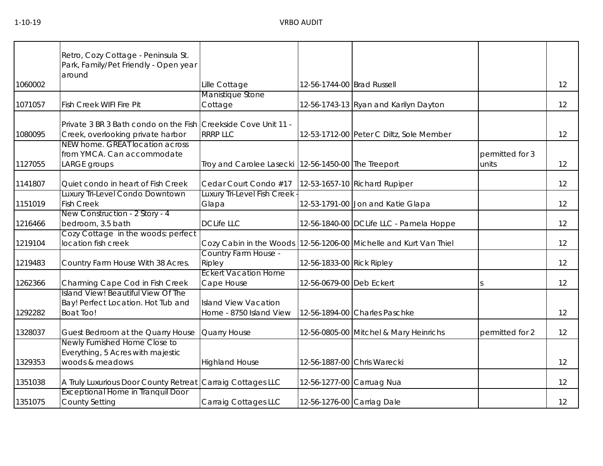|         | Retro, Cozy Cottage - Peninsula St.<br>Park, Family/Pet Friendly - Open year<br>around              |                                                         |                            |                                                                       |                          |    |
|---------|-----------------------------------------------------------------------------------------------------|---------------------------------------------------------|----------------------------|-----------------------------------------------------------------------|--------------------------|----|
| 1060002 |                                                                                                     | Lille Cottage                                           | 12-56-1744-00 Brad Russell |                                                                       |                          | 12 |
| 1071057 | <b>Fish Creek WIFI Fire Pit</b>                                                                     | Manistique Stone<br>Cottage                             |                            | 12-56-1743-13 Ryan and Karilyn Dayton                                 |                          | 12 |
| 1080095 | Private 3 BR 3 Bath condo on the Fish Creekside Cove Unit 11 -<br>Creek, overlooking private harbor | <b>RRRP LLC</b>                                         |                            | 12-53-1712-00 Peter C Diltz, Sole Member                              |                          | 12 |
| 1127055 | NEW home. GREAT location across<br>from YMCA. Can accommodate<br>LARGE groups                       | Troy and Carolee Lasecki   12-56-1450-00   The Treeport |                            |                                                                       | permitted for 3<br>units | 12 |
| 1141807 | Quiet condo in heart of Fish Creek                                                                  | Cedar Court Condo #17                                   |                            | 12-53-1657-10 Richard Rupiper                                         |                          | 12 |
| 1151019 | Luxury Tri-Level Condo Downtown<br><b>Fish Creek</b>                                                | Luxury Tri-Level Fish Creek<br>Glapa                    |                            | 12-53-1791-00 Jon and Katie Glapa                                     |                          | 12 |
| 1216466 | New Construction - 2 Story - 4<br>bedroom, 3.5 bath                                                 | <b>DCLife LLC</b>                                       |                            | 12-56-1840-00 DCLife LLC - Pamela Hoppe                               |                          | 12 |
| 1219104 | Cozy Cottage in the woods: perfect<br>location fish creek                                           |                                                         |                            | Cozy Cabin in the Woods   12-56-1206-00   Michelle and Kurt Van Thiel |                          | 12 |
| 1219483 | Country Farm House With 38 Acres.                                                                   | Country Farm House -<br>Ripley                          | 12-56-1833-00 Rick Ripley  |                                                                       |                          | 12 |
| 1262366 | Charming Cape Cod in Fish Creek                                                                     | <b>Eckert Vacation Home</b><br>Cape House               | 12-56-0679-00 Deb Eckert   |                                                                       | <sub>S</sub>             | 12 |
| 1292282 | <b>Island View! Beautiful View Of The</b><br>Bay! Perfect Location. Hot Tub and<br><b>Boat Too!</b> | <b>Island View Vacation</b><br>Home - 8750 Island View  |                            | 12-56-1894-00 Charles Paschke                                         |                          | 12 |
| 1328037 | Guest Bedroom at the Quarry House                                                                   | Quarry House                                            |                            | 12-56-0805-00 Mitchel & Mary Heinrichs                                | permitted for 2          | 12 |
| 1329353 | Newly Furnished Home Close to<br>Everything, 5 Acres with majestic<br>woods & meadows               | <b>Highland House</b>                                   |                            | 12-56-1887-00 Chris Warecki                                           |                          | 12 |
| 1351038 | A Truly Luxurious Door County Retreat Carraig Cottages LLC                                          |                                                         |                            | 12-56-1277-00 Carruag Nua                                             |                          | 12 |
| 1351075 | <b>Exceptional Home in Tranquil Door</b><br><b>County Setting</b>                                   | Carraig Cottages LLC                                    | 12-56-1276-00 Carriag Dale |                                                                       |                          | 12 |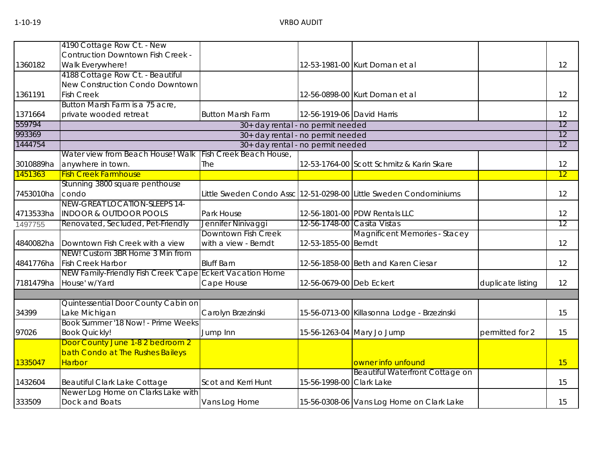|           | 4190 Cottage Row Ct. - New                                |                                   |                             |                                                                   |                   |    |
|-----------|-----------------------------------------------------------|-----------------------------------|-----------------------------|-------------------------------------------------------------------|-------------------|----|
|           | <b>Contruction Downtown Fish Creek -</b>                  |                                   |                             |                                                                   |                   |    |
| 1360182   | Walk Everywhere!                                          |                                   |                             | 12-53-1981-00 Kurt Doman et al                                    |                   | 12 |
|           | 4188 Cottage Row Ct. - Beautiful                          |                                   |                             |                                                                   |                   |    |
|           | New Construction Condo Downtown                           |                                   |                             |                                                                   |                   |    |
| 1361191   | <b>Fish Creek</b>                                         |                                   |                             | 12-56-0898-00 Kurt Doman et al                                    |                   | 12 |
|           | Button Marsh Farm is a 75 acre,                           |                                   |                             |                                                                   |                   |    |
| 1371664   | private wooded retreat                                    | <b>Button Marsh Farm</b>          | 12-56-1919-06 David Harris  |                                                                   |                   | 12 |
| 559794    |                                                           | 30+ day rental - no permit needed |                             |                                                                   |                   | 12 |
| 993369    |                                                           | 30+ day rental - no permit needed |                             |                                                                   |                   | 12 |
| 1444754   |                                                           | 30+ day rental - no permit needed |                             |                                                                   |                   | 12 |
|           | Water view from Beach House! Walk                         | Fish Creek Beach House,           |                             |                                                                   |                   |    |
| 3010889ha | anywhere in town.                                         | The                               |                             | 12-53-1764-00 Scott Schmitz & Karin Skare                         |                   | 12 |
| 1451363   | <b>Fish Creek Farmhouse</b>                               |                                   |                             |                                                                   |                   | 12 |
|           | Stunning 3800 square penthouse                            |                                   |                             |                                                                   |                   |    |
| 7453010ha | condo                                                     |                                   |                             | Little Sweden Condo Assc 12-51-0298-00 Little Sweden Condominiums |                   | 12 |
|           | NEW-GREAT LOCATION-SLEEPS 14-                             |                                   |                             |                                                                   |                   |    |
| 4713533ha | <b>INDOOR &amp; OUTDOOR POOLS</b>                         | Park House                        |                             | 12-56-1801-00 PDW Rentals LLC                                     |                   | 12 |
| 1497755   | Renovated, Secluded, Pet-Friendly                         | Jennifer Ninivaggi                | 12-56-1748-00 Casita Vistas |                                                                   |                   | 12 |
|           |                                                           | Downtown Fish Creek               |                             | <b>Magnificent Memories - Stacey</b>                              |                   |    |
| 4840082ha | Downtown Fish Creek with a view                           | with a view - Berndt              | 12-53-1855-00 Berndt        |                                                                   |                   | 12 |
|           | NEW! Custom 3BR Home 3 Min from                           |                                   |                             |                                                                   |                   |    |
| 4841776ha | <b>Fish Creek Harbor</b>                                  | <b>Bluff Barn</b>                 |                             | 12-56-1858-00 Beth and Karen Ciesar                               |                   | 12 |
|           | NEW Family-Friendly Fish Creek 'Cape Eckert Vacation Home |                                   |                             |                                                                   |                   |    |
| 7181479ha | House' w/Yard                                             | Cape House                        | 12-56-0679-00 Deb Eckert    |                                                                   | duplicate listing | 12 |
|           |                                                           |                                   |                             |                                                                   |                   |    |
|           | Quintessential Door County Cabin on                       |                                   |                             |                                                                   |                   |    |
| 34399     | Lake Michigan                                             | Carolyn Brzezinski                |                             | 15-56-0713-00 Killasonna Lodge - Brzezinski                       |                   | 15 |
|           | Book Summer '18 Now! - Prime Weeks                        |                                   |                             |                                                                   |                   |    |
| 97026     | <b>Book Quickly!</b>                                      | Jump Inn                          |                             | 15-56-1263-04 Mary Jo Jump                                        | permitted for 2   | 15 |
|           | Door County June 1-8 2 bedroom 2                          |                                   |                             |                                                                   |                   |    |
|           | bath Condo at The Rushes Baileys                          |                                   |                             |                                                                   |                   |    |
| 1335047   | <b>Harbor</b>                                             |                                   |                             | owner info unfound                                                |                   | 15 |
|           |                                                           |                                   |                             | <b>Beautiful Waterfront Cottage on</b>                            |                   |    |
| 1432604   | <b>Beautiful Clark Lake Cottage</b>                       | Scot and Kerri Hunt               | 15-56-1998-00 Clark Lake    |                                                                   |                   | 15 |
| 333509    | Newer Log Home on Clarks Lake with<br>Dock and Boats      |                                   |                             |                                                                   |                   | 15 |
|           |                                                           | Vans Log Home                     |                             | 15-56-0308-06 Vans Log Home on Clark Lake                         |                   |    |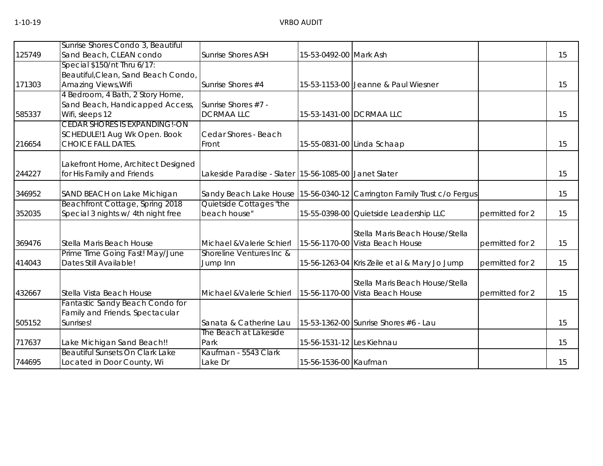|        | Sunrise Shores Condo 3, Beautiful                                     |                                                       |                           |                                                                         |                 |    |
|--------|-----------------------------------------------------------------------|-------------------------------------------------------|---------------------------|-------------------------------------------------------------------------|-----------------|----|
| 125749 | Sand Beach, CLEAN condo                                               | <b>Sunrise Shores ASH</b>                             | 15-53-0492-00 Mark Ash    |                                                                         |                 | 15 |
|        | Special $$150/nt$ Thru $6/17$ :                                       |                                                       |                           |                                                                         |                 |    |
| 171303 | Beautiful, Clean, Sand Beach Condo,<br>Amazing Views, Wifi            | Sunrise Shores #4                                     |                           | 15-53-1153-00 Jeanne & Paul Wiesner                                     |                 | 15 |
|        | 4 Bedroom, 4 Bath, 2 Story Home,                                      |                                                       |                           |                                                                         |                 |    |
|        | Sand Beach, Handicapped Access,                                       | Sunrise Shores #7 -                                   |                           |                                                                         |                 |    |
| 585337 | Wifi, sleeps 12                                                       | <b>DCRMAALLC</b>                                      |                           | 15-53-1431-00 DCRMAA LLC                                                |                 | 15 |
|        | CEDAR SHORES IS EXPANDING!-ON                                         |                                                       |                           |                                                                         |                 |    |
|        | SCHEDULE!1 Aug Wk Open. Book                                          | Cedar Shores - Beach                                  |                           |                                                                         |                 |    |
| 216654 | <b>CHOICE FALL DATES.</b>                                             | Front                                                 |                           | 15-55-0831-00 Linda Schaap                                              |                 | 15 |
|        |                                                                       |                                                       |                           |                                                                         |                 |    |
|        | Lakefront Home, Architect Designed                                    |                                                       |                           |                                                                         |                 |    |
| 244227 | for His Family and Friends                                            | Lakeside Paradise - Slater 15-56-1085-00 Janet Slater |                           |                                                                         |                 | 15 |
|        |                                                                       |                                                       |                           |                                                                         |                 |    |
| 346952 | SAND BEACH on Lake Michigan                                           |                                                       |                           | Sandy Beach Lake House 15-56-0340-12 Carrington Family Trust c/o Fergus |                 | 15 |
| 352035 | Beachfront Cottage, Spring 2018<br>Special 3 nights w/ 4th night free | Quietside Cottages "the<br>beach house"               |                           | 15-55-0398-00 Quietside Leadership LLC                                  | permitted for 2 | 15 |
|        |                                                                       |                                                       |                           |                                                                         |                 |    |
|        |                                                                       |                                                       |                           | Stella Maris Beach House/Stella                                         |                 |    |
| 369476 | Stella Maris Beach House                                              | Michael & Valerie Schierl                             |                           | 15-56-1170-00 Vista Beach House                                         | permitted for 2 | 15 |
|        | Prime Time Going Fast! May/June                                       | Shoreline Ventures Inc &                              |                           |                                                                         |                 |    |
| 414043 | Dates Still Available!                                                | Jump Inn                                              |                           | 15-56-1263-04 Kris Zeile et al & Mary Jo Jump                           | permitted for 2 | 15 |
|        |                                                                       |                                                       |                           |                                                                         |                 |    |
|        |                                                                       |                                                       |                           | Stella Maris Beach House/Stella                                         |                 |    |
| 432667 | Stella Vista Beach House                                              | Michael & Valerie Schierl                             |                           | 15-56-1170-00 Vista Beach House                                         | permitted for 2 | 15 |
|        | Fantastic Sandy Beach Condo for                                       |                                                       |                           |                                                                         |                 |    |
|        | Family and Friends. Spectacular                                       |                                                       |                           |                                                                         |                 |    |
| 505152 | Sunrises!                                                             | Sanata & Catherine Lau<br>The Beach at Lakeside       |                           | 15-53-1362-00 Sunrise Shores #6 - Lau                                   |                 | 15 |
| 717637 | Lake Michigan Sand Beach!!                                            | Park                                                  | 15-56-1531-12 Les Kiehnau |                                                                         |                 | 15 |
|        | <b>Beautiful Sunsets On Clark Lake</b>                                | Kaufman - 5543 Clark                                  |                           |                                                                         |                 |    |
| 744695 | Located in Door County, Wi                                            | Lake Dr                                               | 15-56-1536-00 Kaufman     |                                                                         |                 | 15 |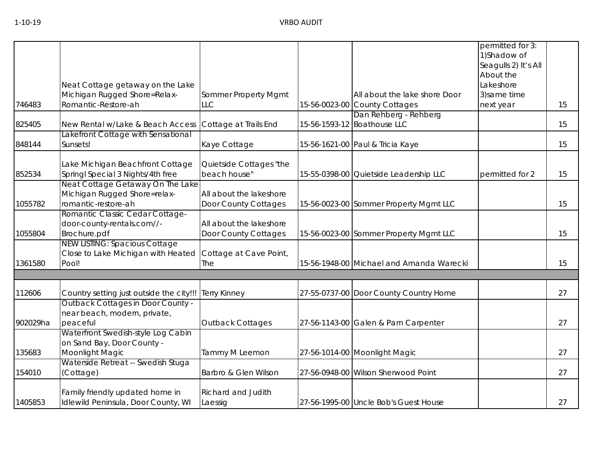|          |                                          |                           |                                          | permitted for 3:     |    |
|----------|------------------------------------------|---------------------------|------------------------------------------|----------------------|----|
|          |                                          |                           |                                          | 1)Shadow of          |    |
|          |                                          |                           |                                          | Seagulls 2) It's All |    |
|          |                                          |                           |                                          | About the            |    |
|          | Neat Cottage getaway on the Lake         |                           |                                          | Lakeshore            |    |
|          | Michigan Rugged Shore=Relax-             | Sommer Property Mgmt      | All about the lake shore Door            | 3) same time         |    |
| 746483   | Romantic-Restore-ah                      | <b>LLC</b>                | 15-56-0023-00 County Cottages            | next year            | 15 |
|          |                                          |                           | Dan Rehberg - Rehberg                    |                      |    |
| 825405   | New Rental w/Lake & Beach Access         | Cottage at Trails End     | 15-56-1593-12 Boathouse LLC              |                      | 15 |
|          | Lakefront Cottage with Sensational       |                           |                                          |                      |    |
| 848144   | Sunsets!                                 | Kaye Cottage              | 15-56-1621-00 Paul & Tricia Kaye         |                      | 15 |
|          | Lake Michigan Beachfront Cottage         | Quietside Cottages "the   |                                          |                      |    |
| 852534   | Springl Special 3 Nights/4th free        | beach house"              | 15-55-0398-00 Quietside Leadership LLC   | permitted for 2      | 15 |
|          | Neat Cottage Getaway On The Lake         |                           |                                          |                      |    |
|          | Michigan Rugged Shore=relax-             | All about the lakeshore   |                                          |                      |    |
| 1055782  | romantic-restore-ah                      | Door County Cottages      | 15-56-0023-00 Sommer Property Mgmt LLC   |                      | 15 |
|          | Romantic Classic Cedar Cottage-          |                           |                                          |                      |    |
|          | door-county-rentals.com//-               | All about the lakeshore   |                                          |                      |    |
| 1055804  | Brochure.pdf                             | Door County Cottages      | 15-56-0023-00 Sommer Property Mgmt LLC   |                      | 15 |
|          | <b>NEW LISTING: Spacious Cottage</b>     |                           |                                          |                      |    |
|          | Close to Lake Michigan with Heated       | Cottage at Cave Point,    |                                          |                      |    |
| 1361580  | Pool!                                    | The                       | 15-56-1948-00 Michael and Amanda Warecki |                      | 15 |
|          |                                          |                           |                                          |                      |    |
| 112606   | Country setting just outside the city!!! | <b>Terry Kinney</b>       | 27-55-0737-00 Door County Country Home   |                      | 27 |
|          | Outback Cottages in Door County -        |                           |                                          |                      |    |
|          | near beach, modern, private,             |                           |                                          |                      |    |
| 902029ha | peaceful                                 | <b>Outback Cottages</b>   | 27-56-1143-00 Galen & Pam Carpenter      |                      | 27 |
|          | Waterfront Swedish-style Log Cabin       |                           |                                          |                      |    |
|          | on Sand Bay, Door County -               |                           |                                          |                      |    |
| 135683   | Moonlight Magic                          | Tammy M Leemon            | 27-56-1014-00 Moonlight Magic            |                      | 27 |
|          | Waterside Retreat -- Swedish Stuga       |                           |                                          |                      |    |
| 154010   | (Cottage)                                | Barbro & Glen Wilson      | 27-56-0948-00 Wilson Sherwood Point      |                      | 27 |
|          | Family friendly updated home in          | <b>Richard and Judith</b> |                                          |                      |    |
| 1405853  | Idlewild Peninsula, Door County, WI      | Laessig                   | 27-56-1995-00 Uncle Bob's Guest House    |                      | 27 |
|          |                                          |                           |                                          |                      |    |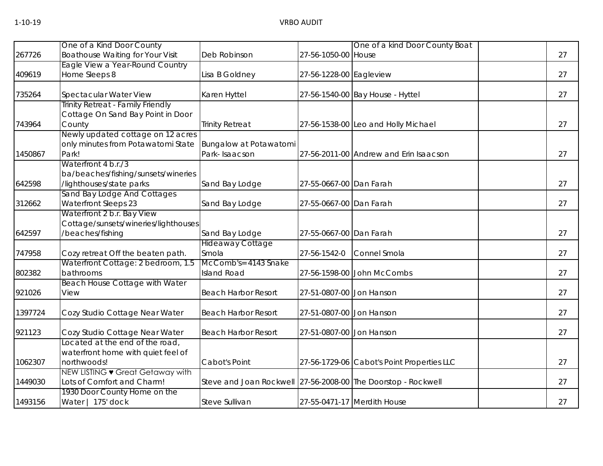| 27<br>27<br>27 |
|----------------|
|                |
|                |
|                |
|                |
|                |
| 27             |
|                |
|                |
| 27             |
|                |
|                |
| 27             |
| 27             |
|                |
|                |
| 27             |
|                |
| 27             |
|                |
| 27             |
|                |
| 27             |
| 27             |
| 27             |
|                |
|                |
| 27             |
|                |
|                |
| 27             |
|                |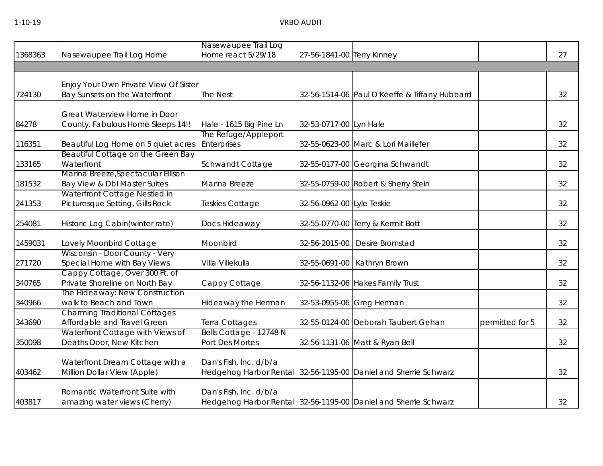# 1-10-19 VRBO AUDIT

|         |                                                                        | Nasewaupee Trail Log                             |                            |                                                                 |                 |    |
|---------|------------------------------------------------------------------------|--------------------------------------------------|----------------------------|-----------------------------------------------------------------|-----------------|----|
| 1368363 | Nasewaupee Trail Log Home                                              | Home react 5/29/18                               | 27-56-1841-00 Terry Kinney |                                                                 |                 | 27 |
|         |                                                                        |                                                  |                            |                                                                 |                 |    |
| 724130  | Enjoy Your Own Private View Of Sister<br>Bay Sunsets on the Waterfront | <b>The Nest</b>                                  |                            | 32-56-1514-06 Paul O'Keeffe & Tiffany Hubbard                   |                 | 32 |
|         | Great Waterview Home in Door                                           |                                                  |                            |                                                                 |                 |    |
| 84278   | County. Fabulous Home Sleeps 14!!                                      | Hale - 1615 Big Pine Ln                          | 32-53-0717-00 Lyn Hale     |                                                                 |                 | 32 |
| 116351  | Beautiful Log Home on 5 quiet acres                                    | The Refuge/Appleport<br>Enterprises              |                            | 32-55-0623-00 Marc & Lori Maillefer                             |                 | 32 |
| 133165  | Beautiful Cottage on the Green Bay<br>Waterfront                       | Schwandt Cottage                                 |                            | 32-55-0177-00 Georgina Schwandt                                 |                 | 32 |
| 181532  | Marina Breeze, Spectacular Ellison<br>Bay View & Dbl Master Suites     | Marina Breeze                                    |                            | 32-55-0759-00 Robert & Sherry Stein                             |                 | 32 |
| 241353  | Waterfront Cottage Nestled in<br>Picturesque Setting, Gills Rock       | Teskies Cottage                                  | 32-56-0962-00 Lyle Teskie  |                                                                 |                 | 32 |
| 254081  | Historic Log Cabin(winter rate)                                        | Docs Hideaway                                    |                            | 32-55-0770-00 Terry & Kermit Bott                               |                 | 32 |
| 1459031 | Lovely Moonbird Cottage                                                | Moonbird                                         |                            | 32-56-2015-00 Desire Bromstad                                   |                 | 32 |
| 271720  | Wisconsin - Door County - Very<br>Special Home with Bay Views          | Villa Villekulla                                 |                            | 32-55-0691-00 Kathryn Brown                                     |                 | 32 |
| 340765  | Cappy Cottage, Over 300 Ft. of<br>Private Shoreline on North Bay       | Cappy Cottage                                    |                            | 32-56-1132-06 Hakes Family Trust                                |                 | 32 |
| 340966  | The Hideaway: New Construction<br>walk to Beach and Town               | Hideaway the Herman                              |                            | 32-53-0955-06 Greg Herman                                       |                 | 32 |
| 343690  | <b>Charming Traditional Cottages</b><br>Affordable and Travel Green    | Terra Cottages                                   |                            | 32-55-0124-00 Deborah Taubert Gehan                             | permitted for 5 | 32 |
| 350098  | Waterfront Cottage with Views of<br>Deaths Door, New Kitchen           | Bells Cottage - 12748 N<br>Port Des Mortes       |                            | 32-56-1131-06 Matt & Ryan Bell                                  |                 | 32 |
| 403462  | Waterfront Dream Cottage with a<br>Million Dollar View (Apple)         | Dan's Fish, Inc. d/b/a<br>Hedgehog Harbor Rental |                            | 32-56-1195-00 Daniel and Sherrie Schwarz                        |                 | 32 |
| 403817  | Romantic Waterfront Suite with<br>amazing water views (Cherry)         | Dan's Fish, Inc. d/b/a                           |                            | Hedgehog Harbor Rental 32-56-1195-00 Daniel and Sherrie Schwarz |                 | 32 |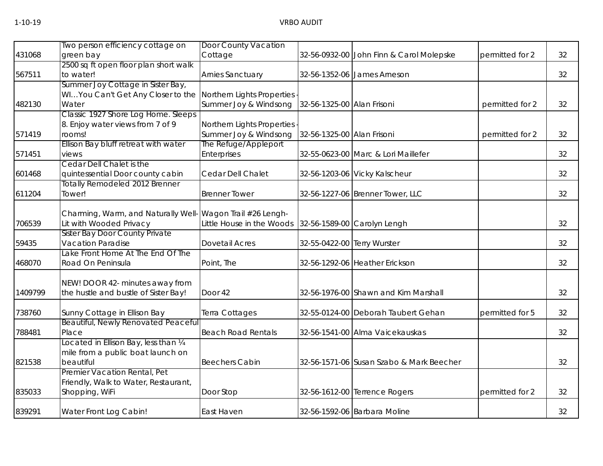|         | Two person efficiency cottage on                                                      | Door County Vacation       |                             |                                          |                 |    |
|---------|---------------------------------------------------------------------------------------|----------------------------|-----------------------------|------------------------------------------|-----------------|----|
| 431068  | green bay                                                                             | Cottage                    |                             | 32-56-0932-00 John Finn & Carol Molepske | permitted for 2 | 32 |
|         | 2500 sq ft open floor plan short walk                                                 |                            |                             |                                          |                 |    |
| 567511  | to water!                                                                             | Arnies Sanctuary           |                             | 32-56-1352-06 James Arneson              |                 | 32 |
|         | Summer Joy Cottage in Sister Bay,                                                     |                            |                             |                                          |                 |    |
|         | WIYou Can't Get Any Closer to the                                                     | Northern Lights Properties |                             |                                          |                 |    |
| 482130  | Water                                                                                 | Summer Joy & Windsong      | 32-56-1325-00 Alan Frisoni  |                                          | permitted for 2 | 32 |
|         | Classic 1927 Shore Log Home. Sleeps                                                   |                            |                             |                                          |                 |    |
|         | 8. Enjoy water views from 7 of 9                                                      | Northern Lights Properties |                             |                                          |                 |    |
| 571419  | rooms!                                                                                | Summer Joy & Windsong      | 32-56-1325-00 Alan Frisoni  |                                          | permitted for 2 | 32 |
|         | Ellison Bay bluff retreat with water                                                  | The Refuge/Appleport       |                             |                                          |                 |    |
| 571451  | views                                                                                 | Enterprises                |                             | 32-55-0623-00 Marc & Lori Maillefer      |                 | 32 |
|         | Cedar Dell Chalet is the                                                              |                            |                             |                                          |                 |    |
| 601468  | quintessential Door county cabin                                                      | Cedar Dell Chalet          |                             | 32-56-1203-06 Vicky Kalscheur            |                 | 32 |
|         | Totally Remodeled 2012 Brenner                                                        |                            |                             |                                          |                 |    |
| 611204  | Tower!                                                                                | <b>Brenner Tower</b>       |                             | 32-56-1227-06 Brenner Tower, LLC         |                 | 32 |
|         |                                                                                       |                            |                             |                                          |                 |    |
| 706539  | Charming, Warm, and Naturally Well- Wagon Trail #26 Lengh-<br>Lit with Wooded Privacy | Little House in the Woods  |                             |                                          |                 | 32 |
|         | Sister Bay Door County Private                                                        |                            |                             | 32-56-1589-00 Carolyn Lengh              |                 |    |
| 59435   | Vacation Paradise                                                                     | <b>Dovetail Acres</b>      | 32-55-0422-00 Terry Wurster |                                          |                 | 32 |
|         | Lake Front Home At The End Of The                                                     |                            |                             |                                          |                 |    |
| 468070  | Road On Peninsula                                                                     | Point, The                 |                             | 32-56-1292-06 Heather Erickson           |                 | 32 |
|         |                                                                                       |                            |                             |                                          |                 |    |
|         | NEW! DOOR 42- minutes away from                                                       |                            |                             |                                          |                 |    |
| 1409799 | the hustle and bustle of Sister Bay!                                                  | Door 42                    |                             | 32-56-1976-00 Shawn and Kim Marshall     |                 | 32 |
|         |                                                                                       |                            |                             |                                          |                 |    |
| 738760  | Sunny Cottage in Ellison Bay                                                          | Terra Cottages             |                             | 32-55-0124-00 Deborah Taubert Gehan      | permitted for 5 | 32 |
|         | <b>Beautiful, Newly Renovated Peaceful</b>                                            |                            |                             |                                          |                 |    |
| 788481  | Place                                                                                 | <b>Beach Road Rentals</b>  |                             | 32-56-1541-00 Alma Vaicekauskas          |                 | 32 |
|         | Located in Ellison Bay, less than 1/4                                                 |                            |                             |                                          |                 |    |
|         | mile from a public boat launch on                                                     |                            |                             |                                          |                 |    |
| 821538  | beautiful                                                                             | <b>Beechers Cabin</b>      |                             | 32-56-1571-06 Susan Szabo & Mark Beecher |                 | 32 |
|         | Premier Vacation Rental, Pet                                                          |                            |                             |                                          |                 |    |
|         | Friendly, Walk to Water, Restaurant,                                                  |                            |                             |                                          |                 |    |
| 835033  | Shopping, WiFi                                                                        | Door Stop                  |                             | 32-56-1612-00 Terrence Rogers            | permitted for 2 | 32 |
|         |                                                                                       |                            |                             |                                          |                 |    |
| 839291  | Water Front Log Cabin!                                                                | East Haven                 |                             | 32-56-1592-06 Barbara Moline             |                 | 32 |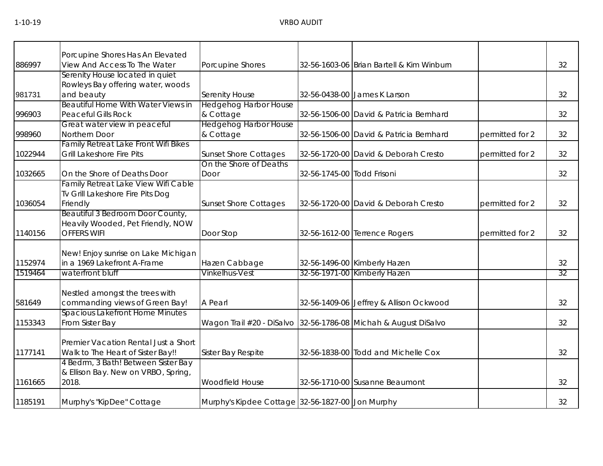|         | Porcupine Shores Has An Elevated       |                                                  |                            |                                                                 |                 |    |
|---------|----------------------------------------|--------------------------------------------------|----------------------------|-----------------------------------------------------------------|-----------------|----|
| 886997  | View And Access To The Water           | Porcupine Shores                                 |                            | 32-56-1603-06 Brian Bartell & Kim Winburn                       |                 | 32 |
|         | Serenity House located in quiet        |                                                  |                            |                                                                 |                 |    |
|         | Rowleys Bay offering water, woods      |                                                  |                            |                                                                 |                 |    |
| 981731  | and beauty                             | Serenity House                                   |                            | 32-56-0438-00 James K Larson                                    |                 | 32 |
|         | Beautiful Home With Water Views in     | <b>Hedgehog Harbor House</b>                     |                            |                                                                 |                 |    |
| 996903  | <b>Peaceful Gills Rock</b>             | & Cottage                                        |                            | 32-56-1506-00 David & Patricia Bernhard                         |                 | 32 |
|         | Great water view in peaceful           | <b>Hedgehog Harbor House</b>                     |                            |                                                                 |                 |    |
| 998960  | Northern Door                          | & Cottage                                        |                            | 32-56-1506-00 David & Patricia Bernhard                         | permitted for 2 | 32 |
|         | Family Retreat Lake Front Wifi Bikes   |                                                  |                            |                                                                 |                 |    |
| 1022944 | <b>Grill Lakeshore Fire Pits</b>       | <b>Sunset Shore Cottages</b>                     |                            | 32-56-1720-00 David & Deborah Cresto                            | permitted for 2 | 32 |
|         |                                        | On the Shore of Deaths                           |                            |                                                                 |                 |    |
| 1032665 | On the Shore of Deaths Door            | Door                                             | 32-56-1745-00 Todd Frisoni |                                                                 |                 | 32 |
|         | Family Retreat Lake View Wifi Cable    |                                                  |                            |                                                                 |                 |    |
|         | Tv Grill Lakeshore Fire Pits Dog       |                                                  |                            |                                                                 |                 |    |
| 1036054 | Friendly                               | <b>Sunset Shore Cottages</b>                     |                            | 32-56-1720-00 David & Deborah Cresto                            | permitted for 2 | 32 |
|         | Beautiful 3 Bedroom Door County,       |                                                  |                            |                                                                 |                 |    |
|         | Heavily Wooded, Pet Friendly, NOW      |                                                  |                            |                                                                 |                 |    |
| 1140156 | <b>OFFERS WIFI</b>                     | Door Stop                                        |                            | 32-56-1612-00 Terrence Rogers                                   | permitted for 2 | 32 |
|         |                                        |                                                  |                            |                                                                 |                 |    |
|         | New! Enjoy sunrise on Lake Michigan    |                                                  |                            |                                                                 |                 |    |
| 1152974 | in a 1969 Lakefront A-Frame            | Hazen Cabbage                                    |                            | 32-56-1496-00 Kimberly Hazen                                    |                 | 32 |
| 1519464 | waterfront bluff                       | Vinkelhus-Vest                                   |                            | 32-56-1971-00 Kimberly Hazen                                    |                 | 32 |
|         |                                        |                                                  |                            |                                                                 |                 |    |
|         | Nestled amongst the trees with         |                                                  |                            |                                                                 |                 |    |
| 581649  | commanding views of Green Bay!         | A Pearl                                          |                            | 32-56-1409-06 Jeffrey & Allison Ockwood                         |                 | 32 |
|         | <b>Spacious Lakefront Home Minutes</b> |                                                  |                            |                                                                 |                 |    |
| 1153343 | From Sister Bay                        |                                                  |                            | Wagon Trail #20 - DiSalvo 32-56-1786-08 Michah & August DiSalvo |                 | 32 |
|         |                                        |                                                  |                            |                                                                 |                 |    |
|         | Premier Vacation Rental Just a Short   |                                                  |                            |                                                                 |                 |    |
| 1177141 | Walk to The Heart of Sister Bay!!      | Sister Bay Respite                               |                            | 32-56-1838-00 Todd and Michelle Cox                             |                 | 32 |
|         | 4 Bedrm, 3 Bath! Between Sister Bay    |                                                  |                            |                                                                 |                 |    |
|         | & Ellison Bay. New on VRBO, Spring,    |                                                  |                            |                                                                 |                 |    |
| 1161665 | 2018.                                  | Woodfield House                                  |                            | 32-56-1710-00 Susanne Beaumont                                  |                 | 32 |
| 1185191 | Murphy's "KipDee" Cottage              | Murphy's Kipdee Cottage 32-56-1827-00 Jon Murphy |                            |                                                                 |                 | 32 |
|         |                                        |                                                  |                            |                                                                 |                 |    |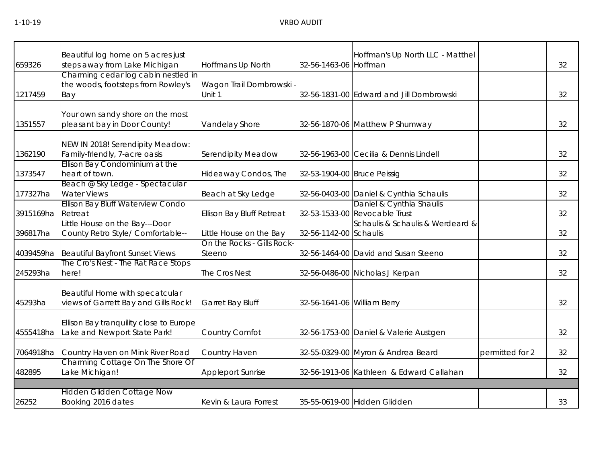| Beautiful log home on 5 acres just<br>steps away from Lake Michigan     | Hoffmans Up North                                                                                                                          |                                                                   | Hoffman's Up North LLC - Matthel |                                                                                                                                                                                                                                                                                                                                                                                                                                                                                                                                                                                       | 32                               |
|-------------------------------------------------------------------------|--------------------------------------------------------------------------------------------------------------------------------------------|-------------------------------------------------------------------|----------------------------------|---------------------------------------------------------------------------------------------------------------------------------------------------------------------------------------------------------------------------------------------------------------------------------------------------------------------------------------------------------------------------------------------------------------------------------------------------------------------------------------------------------------------------------------------------------------------------------------|----------------------------------|
| the woods, footsteps from Rowley's<br>Bay                               | Wagon Trail Dombrowski<br>Unit 1                                                                                                           |                                                                   |                                  |                                                                                                                                                                                                                                                                                                                                                                                                                                                                                                                                                                                       | 32                               |
| Your own sandy shore on the most<br>pleasant bay in Door County!        | Vandelay Shore                                                                                                                             |                                                                   |                                  |                                                                                                                                                                                                                                                                                                                                                                                                                                                                                                                                                                                       | 32                               |
| NEW IN 2018! Serendipity Meadow:<br>Family-friendly, 7-acre oasis       | Serendipity Meadow                                                                                                                         |                                                                   |                                  |                                                                                                                                                                                                                                                                                                                                                                                                                                                                                                                                                                                       | 32                               |
| heart of town.                                                          | Hideaway Condos, The                                                                                                                       |                                                                   |                                  |                                                                                                                                                                                                                                                                                                                                                                                                                                                                                                                                                                                       | 32                               |
| Beach @ Sky Ledge - Spectacular<br><b>Water Views</b>                   | Beach at Sky Ledge                                                                                                                         |                                                                   |                                  |                                                                                                                                                                                                                                                                                                                                                                                                                                                                                                                                                                                       | 32                               |
| Retreat                                                                 | <b>Ellison Bay Bluff Retreat</b>                                                                                                           |                                                                   |                                  |                                                                                                                                                                                                                                                                                                                                                                                                                                                                                                                                                                                       | 32                               |
| County Retro Style/ Comfortable--                                       | Little House on the Bay                                                                                                                    |                                                                   |                                  |                                                                                                                                                                                                                                                                                                                                                                                                                                                                                                                                                                                       | 32                               |
| <b>Beautiful Bayfront Sunset Views</b>                                  | Steeno                                                                                                                                     |                                                                   |                                  |                                                                                                                                                                                                                                                                                                                                                                                                                                                                                                                                                                                       | 32                               |
| The Cro's Nest - The Rat Race Stops<br>here!                            | The Cros Nest                                                                                                                              |                                                                   |                                  |                                                                                                                                                                                                                                                                                                                                                                                                                                                                                                                                                                                       | 32                               |
| Beautiful Home with specatcular<br>views of Garrett Bay and Gills Rock! | Garret Bay Bluff                                                                                                                           |                                                                   |                                  |                                                                                                                                                                                                                                                                                                                                                                                                                                                                                                                                                                                       | 32                               |
| Ellison Bay tranquility close to Europe<br>Lake and Newport State Park! | Country Comfot                                                                                                                             |                                                                   |                                  |                                                                                                                                                                                                                                                                                                                                                                                                                                                                                                                                                                                       | 32                               |
| Country Haven on Mink River Road                                        | Country Haven                                                                                                                              |                                                                   |                                  | permitted for 2                                                                                                                                                                                                                                                                                                                                                                                                                                                                                                                                                                       | 32                               |
| Charming Cottage On The Shore Of<br>Lake Michigan!                      | <b>Appleport Sunrise</b>                                                                                                                   |                                                                   |                                  |                                                                                                                                                                                                                                                                                                                                                                                                                                                                                                                                                                                       | 32                               |
|                                                                         |                                                                                                                                            |                                                                   |                                  |                                                                                                                                                                                                                                                                                                                                                                                                                                                                                                                                                                                       |                                  |
| Booking 2016 dates                                                      | Kevin & Laura Forrest                                                                                                                      |                                                                   |                                  |                                                                                                                                                                                                                                                                                                                                                                                                                                                                                                                                                                                       | 33                               |
|                                                                         | Ellison Bay Condominium at the<br>Ellison Bay Bluff Waterview Condo<br>Little House on the Bay---Door<br><b>Hidden Glidden Cottage Now</b> | Charming cedar log cabin nestled in<br>On the Rocks - Gills Rock- |                                  | 32-56-1463-06 Hoffman<br>32-56-1831-00 Edward and Jill Dombrowski<br>32-56-1870-06 Matthew P Shumway<br>32-56-1963-00 Cecilia & Dennis Lindell<br>32-53-1904-00 Bruce Peissig<br>32-56-0403-00 Daniel & Cynthia Schaulis<br>Daniel & Cynthia Shaulis<br>32-53-1533-00 Revocable Trust<br>32-56-1142-00 Schaulis<br>32-56-1464-00 David and Susan Steeno<br>32-56-0486-00 Nicholas J Kerpan<br>32-56-1641-06 William Berry<br>32-56-1753-00 Daniel & Valerie Austgen<br>32-55-0329-00 Myron & Andrea Beard<br>32-56-1913-06 Kathleen & Edward Callahan<br>35-55-0619-00 Hidden Glidden | Schaulis & Schaulis & Werdeard & |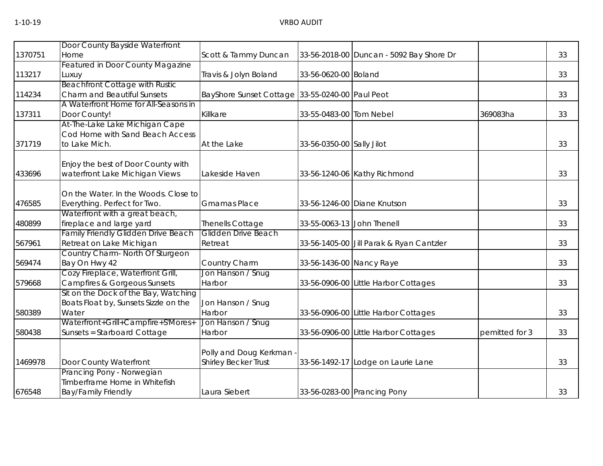|         | Door County Bayside Waterfront             |                                                 |                            |                                          |                |    |
|---------|--------------------------------------------|-------------------------------------------------|----------------------------|------------------------------------------|----------------|----|
| 1370751 | Home                                       | Scott & Tammy Duncan                            |                            | 33-56-2018-00 Duncan - 5092 Bay Shore Dr |                | 33 |
|         | <b>Featured in Door County Magazine</b>    |                                                 |                            |                                          |                |    |
| 113217  | Luxuy                                      | Travis & Jolyn Boland                           | 33-56-0620-00 Boland       |                                          |                | 33 |
|         | <b>Beachfront Cottage with Rustic</b>      |                                                 |                            |                                          |                |    |
| 114234  | <b>Charm and Beautiful Sunsets</b>         | BayShore Sunset Cottage 33-55-0240-00 Paul Peot |                            |                                          |                | 33 |
|         | A Waterfront Home for All-Seasons in       |                                                 |                            |                                          |                |    |
| 137311  | Door County!                               | Killkare                                        | 33-55-0483-00 Tom Nebel    |                                          | 369083ha       | 33 |
|         | At-The-Lake Lake Michigan Cape             |                                                 |                            |                                          |                |    |
|         | Cod Home with Sand Beach Access            |                                                 |                            |                                          |                |    |
| 371719  | to Lake Mich.                              | At the Lake                                     | 33-56-0350-00 Sally Jilot  |                                          |                | 33 |
|         |                                            |                                                 |                            |                                          |                |    |
|         | Enjoy the best of Door County with         |                                                 |                            |                                          |                |    |
| 433696  | waterfront Lake Michigan Views             | Lakeside Haven                                  |                            | 33-56-1240-06 Kathy Richmond             |                | 33 |
|         | On the Water. In the Woods. Close to       |                                                 |                            |                                          |                |    |
| 476585  | Everything. Perfect for Two.               | <b>Gmamas Place</b>                             |                            | 33-56-1246-00 Diane Knutson              |                | 33 |
|         | Waterfront with a great beach,             |                                                 |                            |                                          |                |    |
| 480899  | fireplace and large yard                   | Thenells Cottage                                | 33-55-0063-13 John Thenell |                                          |                | 33 |
|         | <b>Family Friendly Glidden Drive Beach</b> | Glidden Drive Beach                             |                            |                                          |                |    |
| 567961  | Retreat on Lake Michigan                   | Retreat                                         |                            | 33-56-1405-00 Jill Parak & Ryan Cantzler |                | 33 |
|         | Country Charm- North Of Sturgeon           |                                                 |                            |                                          |                |    |
| 569474  | Bay On Hwy 42                              | Country Charm                                   | 33-56-1436-00 Nancy Raye   |                                          |                | 33 |
|         | Cozy Fireplace, Waterfront Grill,          | Jon Hanson / Snug                               |                            |                                          |                |    |
| 579668  | <b>Campfires &amp; Gorgeous Sunsets</b>    | Harbor                                          |                            | 33-56-0906-00 Little Harbor Cottages     |                | 33 |
|         | Sit on the Dock of the Bay, Watching       |                                                 |                            |                                          |                |    |
|         | Boats Float by, Sunsets Sizzle on the      | Jon Hanson / Snug                               |                            |                                          |                |    |
| 580389  | Water                                      | Harbor                                          |                            | 33-56-0906-00 Little Harbor Cottages     |                | 33 |
|         | Waterfront+Grill+Campfire+S'Mores+         | Jon Hanson / Snug                               |                            |                                          |                |    |
| 580438  | Sunsets = Starboard Cottage                | Harbor                                          |                            | 33-56-0906-00 Little Harbor Cottages     | pemitted for 3 | 33 |
|         |                                            |                                                 |                            |                                          |                |    |
|         |                                            | Polly and Doug Kerkman                          |                            |                                          |                |    |
| 1469978 | Door County Waterfront                     | Shirley Becker Trust                            |                            | 33-56-1492-17 Lodge on Laurie Lane       |                | 33 |
|         | Prancing Pony - Norwegian                  |                                                 |                            |                                          |                |    |
|         | Timberframe Home in Whitefish              |                                                 |                            |                                          |                |    |
| 676548  | <b>Bay/Family Friendly</b>                 | Laura Siebert                                   |                            | 33-56-0283-00 Prancing Pony              |                | 33 |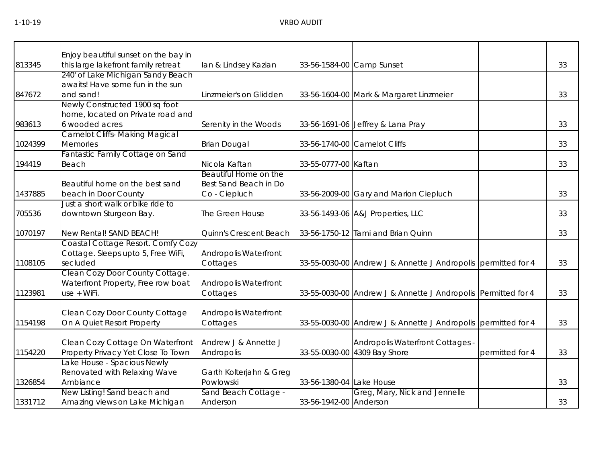|         | Enjoy beautiful sunset on the bay in     |                                      |                          |                                                               |                 |    |
|---------|------------------------------------------|--------------------------------------|--------------------------|---------------------------------------------------------------|-----------------|----|
| 813345  | this large lakefront family retreat      | lan & Lindsey Kazian                 |                          | 33-56-1584-00 Camp Sunset                                     |                 | 33 |
|         | 240' of Lake Michigan Sandy Beach        |                                      |                          |                                                               |                 |    |
|         | awaits! Have some fun in the sun         |                                      |                          |                                                               |                 |    |
| 847672  | and sand!                                | Linzmeier's on Glidden               |                          | 33-56-1604-00 Mark & Margaret Linzmeier                       |                 | 33 |
|         | Newly Constructed 1900 sq foot           |                                      |                          |                                                               |                 |    |
|         | home, located on Private road and        |                                      |                          |                                                               |                 |    |
| 983613  | 6 wooded acres                           | Serenity in the Woods                |                          | 33-56-1691-06 Jeffrey & Lana Pray                             |                 | 33 |
|         | <b>Camelot Cliffs- Making Magical</b>    |                                      |                          |                                                               |                 |    |
| 1024399 | <b>Memories</b>                          | <b>Brian Dougal</b>                  |                          | 33-56-1740-00 Camelot Cliffs                                  |                 | 33 |
|         | Fantastic Family Cottage on Sand         |                                      |                          |                                                               |                 |    |
| 194419  | Beach                                    | Nicola Kaftan                        | 33-55-0777-00 Kaftan     |                                                               |                 | 33 |
|         |                                          | Beautiful Home on the                |                          |                                                               |                 |    |
|         | Beautiful home on the best sand          | Best Sand Beach in Do                |                          |                                                               |                 |    |
| 1437885 | beach in Door County                     | Co - Ciepluch                        |                          | 33-56-2009-00 Gary and Marion Ciepluch                        |                 | 33 |
|         | Just a short walk or bike ride to        |                                      |                          |                                                               |                 |    |
| 705536  | downtown Sturgeon Bay.                   | The Green House                      |                          | 33-56-1493-06 A&J Properties, LLC                             |                 | 33 |
| 1070197 | New Rental! SAND BEACH!                  | Quinn's Crescent Beach               |                          | 33-56-1750-12 Tami and Brian Quinn                            |                 | 33 |
|         | Coastal Cottage Resort. Comfy Cozy       |                                      |                          |                                                               |                 |    |
|         | Cottage. Sleeps upto 5, Free WiFi,       | Andropolis Waterfront                |                          |                                                               |                 |    |
| 1108105 | secluded                                 | Cottages                             |                          | 33-55-0030-00 Andrew J & Annette J Andropolis permitted for 4 |                 | 33 |
|         | Clean Cozy Door County Cottage.          |                                      |                          |                                                               |                 |    |
|         | Waterfront Property, Free row boat       | Andropolis Waterfront                |                          |                                                               |                 |    |
| 1123981 | use + WiFi.                              | Cottages                             |                          | 33-55-0030-00 Andrew J & Annette J Andropolis Permitted for 4 |                 | 33 |
|         |                                          |                                      |                          |                                                               |                 |    |
|         | Clean Cozy Door County Cottage           | Andropolis Waterfront                |                          |                                                               |                 |    |
| 1154198 | On A Quiet Resort Property               | Cottages                             |                          | 33-55-0030-00 Andrew J & Annette J Andropolis permitted for 4 |                 | 33 |
|         |                                          |                                      |                          |                                                               |                 |    |
|         | Clean Cozy Cottage On Waterfront         | Andrew J & Annette J                 |                          | Andropolis Waterfront Cottages -                              |                 |    |
| 1154220 | Property Privacy Yet Close To Town       | Andropolis                           |                          | 33-55-0030-00 4309 Bay Shore                                  | permitted for 4 | 33 |
|         | Lake House - Spacious Newly              |                                      |                          |                                                               |                 |    |
| 1326854 | Renovated with Relaxing Wave<br>Ambiance | Garth Kolterjahn & Greg<br>Powlowski | 33-56-1380-04 Lake House |                                                               |                 | 33 |
|         | New Listing! Sand beach and              | Sand Beach Cottage -                 |                          | Greg, Mary, Nick and Jennelle                                 |                 |    |
| 1331712 | Amazing views on Lake Michigan           | Anderson                             | 33-56-1942-00 Anderson   |                                                               |                 | 33 |
|         |                                          |                                      |                          |                                                               |                 |    |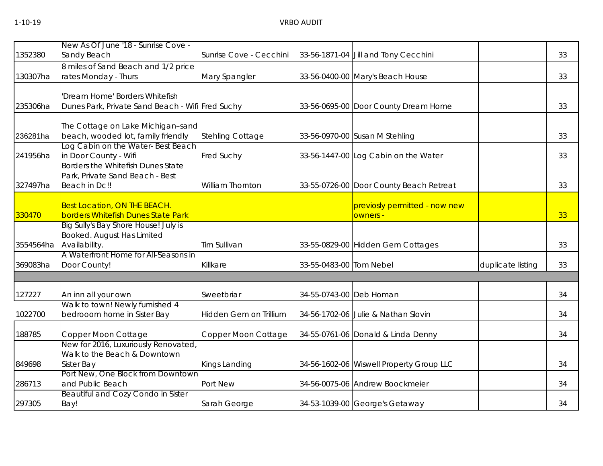|           | New As Of June '18 - Sunrise Cove -                                         |                         |                         |                                          |                   |    |
|-----------|-----------------------------------------------------------------------------|-------------------------|-------------------------|------------------------------------------|-------------------|----|
| 1352380   | Sandy Beach                                                                 | Sunrise Cove - Cecchini |                         | 33-56-1871-04 Jill and Tony Cecchini     |                   | 33 |
|           | 8 miles of Sand Beach and 1/2 price                                         |                         |                         |                                          |                   |    |
| 130307ha  | rates Monday - Thurs                                                        | Mary Spangler           |                         | 33-56-0400-00 Mary's Beach House         |                   | 33 |
|           | Dream Home' Borders Whitefish                                               |                         |                         |                                          |                   |    |
| 235306ha  | Dunes Park, Private Sand Beach - Wifi Fred Suchy                            |                         |                         | 33-56-0695-00 Door County Dream Home     |                   | 33 |
|           | The Cottage on Lake Michigan-sand                                           |                         |                         |                                          |                   |    |
| 236281ha  | beach, wooded lot, family friendly                                          | <b>Stehling Cottage</b> |                         | 33-56-0970-00 Susan M Stehling           |                   | 33 |
| 241956ha  | Log Cabin on the Water-Best Beach<br>in Door County - Wifi                  | Fred Suchy              |                         | 33-56-1447-00 Log Cabin on the Water     |                   | 33 |
|           | <b>Borders the Whitefish Dunes State</b><br>Park, Private Sand Beach - Best |                         |                         |                                          |                   |    |
| 327497ha  | Beach in Dc!!                                                               | <b>William Thornton</b> |                         | 33-55-0726-00 Door County Beach Retreat  |                   | 33 |
|           | Best Location, ON THE BEACH.                                                |                         |                         | previosly permitted - now new            |                   |    |
| 330470    | borders Whitefish Dunes State Park                                          |                         |                         | owners -                                 |                   | 33 |
|           | Big Sully's Bay Shore House! July is<br>Booked. August Has Limited          |                         |                         |                                          |                   |    |
| 3554564ha | Availability.                                                               | Tim Sullivan            |                         | 33-55-0829-00 Hidden Gem Cottages        |                   | 33 |
|           | A Waterfront Home for All-Seasons in                                        |                         |                         |                                          |                   |    |
| 369083ha  | Door County!                                                                | Killkare                | 33-55-0483-00 Tom Nebel |                                          | duplicate listing | 33 |
|           |                                                                             |                         |                         |                                          |                   |    |
| 127227    | An inn all your own                                                         | Sweetbriar              | 34-55-0743-00 Deb Homan |                                          |                   | 34 |
|           | Walk to town! Newly furnished 4                                             |                         |                         |                                          |                   |    |
| 1022700   | bedrooom home in Sister Bay                                                 | Hidden Gem on Trillium  |                         | 34-56-1702-06 Julie & Nathan Slovin      |                   | 34 |
| 188785    | Copper Moon Cottage                                                         | Copper Moon Cottage     |                         | 34-55-0761-06 Donald & Linda Denny       |                   | 34 |
|           | New for 2016, Luxuriously Renovated                                         |                         |                         |                                          |                   |    |
| 849698    | Walk to the Beach & Downtown<br>Sister Bay                                  | Kings Landing           |                         | 34-56-1602-06 Wiswell Property Group LLC |                   | 34 |
|           | Port New, One Block from Downtown                                           |                         |                         |                                          |                   |    |
| 286713    | and Public Beach                                                            | Port New                |                         | 34-56-0075-06 Andrew Boockmeier          |                   | 34 |
| 297305    | <b>Beautiful and Cozy Condo in Sister</b><br>Bay!                           | Sarah George            |                         | 34-53-1039-00 George's Getaway           |                   | 34 |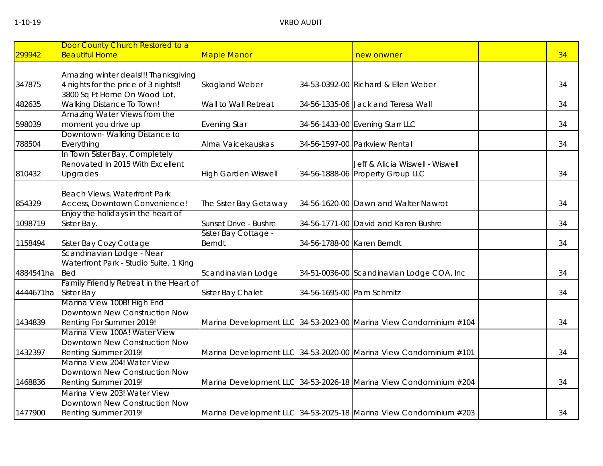| 299942    | Door County Church Restored to a<br><b>Beautiful Home</b> | <b>Maple Manor</b>         |                            | new onwner                                                        | 34 |
|-----------|-----------------------------------------------------------|----------------------------|----------------------------|-------------------------------------------------------------------|----|
|           | Amazing winter deals!!! Thanksgiving                      |                            |                            |                                                                   |    |
| 347875    | 4 nights for the price of 3 nights!!                      | Skogland Weber             |                            | 34-53-0392-00 Richard & Ellen Weber                               | 34 |
|           | 3800 Sq Ft Home On Wood Lot,                              |                            |                            |                                                                   |    |
| 482635    | <b>Walking Distance To Town!</b>                          | Wall to Wall Retreat       |                            | 34-56-1335-06 Jack and Teresa Wall                                | 34 |
|           | Amazing Water Views from the                              |                            |                            |                                                                   |    |
| 598039    | moment you drive up                                       | <b>Evening Star</b>        |                            | 34-56-1433-00 Evening Starr LLC                                   | 34 |
|           | Downtown-Walking Distance to                              |                            |                            |                                                                   |    |
| 788504    | Everything                                                | Alma Vaicekauskas          |                            | 34-56-1597-00 Parkview Rental                                     | 34 |
|           | In Town Sister Bay, Completely                            |                            |                            |                                                                   |    |
|           | Renovated In 2015 With Excellent                          |                            |                            | Jeff & Alicia Wiswell - Wiswell                                   |    |
| 810432    | Upgrades                                                  | <b>High Garden Wiswell</b> |                            | 34-56-1888-06 Property Group LLC                                  | 34 |
|           | Beach Views, Waterfront Park                              |                            |                            |                                                                   |    |
| 854329    | Access, Downtown Convenience!                             | The Sister Bay Getaway     |                            | 34-56-1620-00 Dawn and Walter Nawrot                              | 34 |
|           | Enjoy the holidays in the heart of                        |                            |                            |                                                                   |    |
| 1098719   | Sister Bay.                                               | Sunset Drive - Bushre      |                            | 34-56-1771-00 David and Karen Bushre                              | 34 |
|           |                                                           | Sister Bay Cottage -       |                            |                                                                   |    |
| 1158494   | Sister Bay Cozy Cottage                                   | <b>Berndt</b>              | 34-56-1788-00 Karen Berndt |                                                                   | 34 |
|           | Scandinavian Lodge - Near                                 |                            |                            |                                                                   |    |
|           | Waterfront Park - Studio Suite, 1 King                    |                            |                            |                                                                   |    |
| 4884541ha | <b>Bed</b>                                                | Scandinavian Lodge         |                            | 34-51-0036-00 Scandinavian Lodge COA, Inc                         | 34 |
|           | Family Friendly Retreat in the Heart of                   |                            |                            |                                                                   |    |
| 4444671ha | Sister Bay                                                | Sister Bay Chalet          | 34-56-1695-00 Pam Schmitz  |                                                                   | 34 |
|           | Marina View 100B! High End                                |                            |                            |                                                                   |    |
|           | Downtown New Construction Now                             |                            |                            |                                                                   |    |
| 1434839   | Renting For Summer 2019!                                  |                            |                            | Marina Development LLC 34-53-2023-00 Marina View Condominium #104 | 34 |
|           | Marina View 100A! Water View                              |                            |                            |                                                                   |    |
|           | Downtown New Construction Now                             |                            |                            |                                                                   |    |
| 1432397   | Renting Summer 2019!                                      |                            |                            | Marina Development LLC 34-53-2020-00 Marina View Condominium #101 | 34 |
|           | Marina View 204! Water View                               |                            |                            |                                                                   |    |
|           | Downtown New Construction Now                             |                            |                            |                                                                   |    |
| 1468836   | Renting Summer 2019!                                      |                            |                            | Marina Development LLC 34-53-2026-18 Marina View Condominium #204 | 34 |
|           | Marina View 203! Water View                               |                            |                            |                                                                   |    |
|           | Downtown New Construction Now                             |                            |                            |                                                                   |    |
| 1477900   | Renting Summer 2019!                                      |                            |                            | Marina Development LLC 34-53-2025-18 Marina View Condominium #203 | 34 |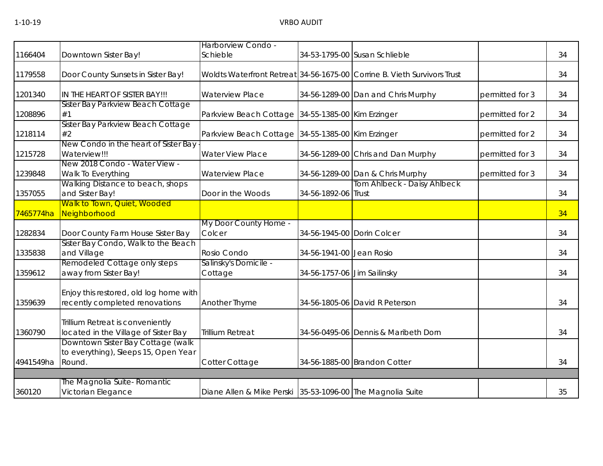|           |                                                                                     | Harborview Condo -                                         |                             |                                                                          |                 |    |
|-----------|-------------------------------------------------------------------------------------|------------------------------------------------------------|-----------------------------|--------------------------------------------------------------------------|-----------------|----|
| 1166404   | Downtown Sister Bay!                                                                | Schieble                                                   |                             | 34-53-1795-00 Susan Schlieble                                            |                 | 34 |
| 1179558   | Door County Sunsets in Sister Bay!                                                  |                                                            |                             | Woldts Waterfront Retreat 34-56-1675-00 Corrine B. Vieth Survivors Trust |                 | 34 |
| 1201340   | IN THE HEART OF SISTER BAY!!!                                                       | <b>Waterview Place</b>                                     |                             | 34-56-1289-00 Dan and Chris Murphy                                       | permitted for 3 | 34 |
| 1208896   | Sister Bay Parkview Beach Cottage<br>#1                                             | Parkview Beach Cottage 34-55-1385-00 Kim Erzinger          |                             |                                                                          | permitted for 2 | 34 |
| 1218114   | Sister Bay Parkview Beach Cottage<br>#2                                             | Parkview Beach Cottage 34-55-1385-00 Kim Erzinger          |                             |                                                                          | permitted for 2 | 34 |
| 1215728   | New Condo in the heart of Sister Bay<br>Waterview!!!                                | <b>Water View Place</b>                                    |                             | 34-56-1289-00 Chris and Dan Murphy                                       | permitted for 3 | 34 |
| 1239848   | New 2018 Condo - Water View -<br>Walk To Everything                                 | <b>Waterview Place</b>                                     |                             | 34-56-1289-00 Dan & Chris Murphy                                         | permitted for 3 | 34 |
| 1357055   | Walking Distance to beach, shops<br>and Sister Bay!                                 | Door in the Woods                                          | 34-56-1892-06 Trust         | Tom Ahlbeck - Daisy Ahlbeck                                              |                 | 34 |
| 7465774ha | Walk to Town, Quiet, Wooded<br>Neighborhood                                         |                                                            |                             |                                                                          |                 | 34 |
| 1282834   | Door County Farm House Sister Bay                                                   | My Door County Home -<br>Colcer                            | 34-56-1945-00 Dorin Colcer  |                                                                          |                 | 34 |
| 1335838   | Sister Bay Condo, Walk to the Beach<br>and Village                                  | Rosio Condo                                                | 34-56-1941-00 Jean Rosio    |                                                                          |                 | 34 |
| 1359612   | Remodeled Cottage only steps<br>away from Sister Bay!                               | Salinsky's Domicile -<br>Cottage                           | 34-56-1757-06 Jim Sailinsky |                                                                          |                 | 34 |
| 1359639   | Enjoy this restored, old log home with<br>recently completed renovations            | Another Thyme                                              |                             | 34-56-1805-06 David R Peterson                                           |                 | 34 |
| 1360790   | Trillium Retreat is conveniently<br>located in the Village of Sister Bay            | <b>Trillium Retreat</b>                                    |                             | 34-56-0495-06 Dennis & Maribeth Dorn                                     |                 | 34 |
| 4941549ha | Downtown Sister Bay Cottage (walk<br>to everything), Sleeps 15, Open Year<br>Round. | Cotter Cottage                                             |                             | 34-56-1885-00 Brandon Cotter                                             |                 | 34 |
|           |                                                                                     |                                                            |                             |                                                                          |                 |    |
| 360120    | The Magnolia Suite- Romantic<br>Victorian Elegance                                  | Diane Allen & Mike Perski 35-53-1096-00 The Magnolia Suite |                             |                                                                          |                 | 35 |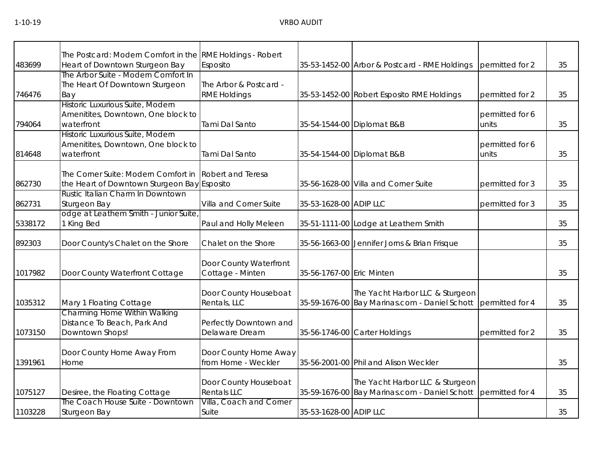| 483699  | The Postcard: Modern Comfort in the RME Holdings - Robert<br>Heart of Downtown Sturgeon Bay | Esposito                                      |                           | 35-53-1452-00 Arbor & Postcard - RME Holdings                                    | permitted for 2          | 35 |
|---------|---------------------------------------------------------------------------------------------|-----------------------------------------------|---------------------------|----------------------------------------------------------------------------------|--------------------------|----|
| 746476  | The Arbor Suite - Modern Comfort In<br>The Heart Of Downtown Sturgeon<br>Bay                | The Arbor & Postcard -<br><b>RME Holdings</b> |                           | 35-53-1452-00 Robert Esposito RME Holdings                                       | permitted for 2          | 35 |
| 794064  | Historic Luxurious Suite, Modern<br>Amenitites, Downtown, One block to<br>waterfront        | Tami Dal Santo                                |                           | 35-54-1544-00 Diplomat B&B                                                       | permitted for 6<br>units | 35 |
| 814648  | Historic Luxurious Suite, Modern<br>Amenitites, Downtown, One block to<br>waterfront        | Tami Dal Santo                                |                           | 35-54-1544-00 Diplomat B&B                                                       | permitted for 6<br>units | 35 |
| 862730  | The Corner Suite: Modern Comfort in<br>the Heart of Downtown Sturgeon Bay Esposito          | Robert and Teresa                             |                           | 35-56-1628-00 Villa and Corner Suite                                             | permitted for 3          | 35 |
| 862731  | Rustic Italian Charm In Downtown<br>Sturgeon Bay                                            | Villa and Corner Suite                        | 35-53-1628-00 ADIP LLC    |                                                                                  | permitted for 3          | 35 |
| 5338172 | odge at Leathem Smith - Junior Suite,<br>1 King Bed                                         | Paul and Holly Meleen                         |                           | 35-51-1111-00 Lodge at Leathem Smith                                             |                          | 35 |
| 892303  | Door County's Chalet on the Shore                                                           | Chalet on the Shore                           |                           | 35-56-1663-00 Jennifer Jorns & Brian Frisque                                     |                          | 35 |
| 1017982 | Door County Waterfront Cottage                                                              | Door County Waterfront<br>Cottage - Minten    | 35-56-1767-00 Eric Minten |                                                                                  |                          | 35 |
| 1035312 | Mary 1 Floating Cottage                                                                     | Door County Houseboat<br>Rentals, LLC         |                           | The Yacht Harbor LLC & Sturgeon<br>35-59-1676-00 Bay Marinas.com - Daniel Schott | permitted for 4          | 35 |
| 1073150 | Charming Home Within Walking<br>Distance To Beach, Park And<br>Downtown Shops!              | Perfectly Downtown and<br>Delaware Dream      |                           | 35-56-1746-00 Carter Holdings                                                    | permitted for 2          | 35 |
| 1391961 | Door County Home Away From<br>Home                                                          | Door County Home Away<br>from Home - Weckler  |                           | 35-56-2001-00 Phil and Alison Weckler                                            |                          | 35 |
| 1075127 | Desiree, the Floating Cottage                                                               | Door County Houseboat<br><b>Rentals LLC</b>   |                           | The Yacht Harbor LLC & Sturgeon<br>35-59-1676-00 Bay Marinas.com - Daniel Schott | permitted for 4          | 35 |
| 1103228 | The Coach House Suite - Downtown<br>Sturgeon Bay                                            | Villa, Coach and Corner<br>Suite              | 35-53-1628-00 ADIP LLC    |                                                                                  |                          | 35 |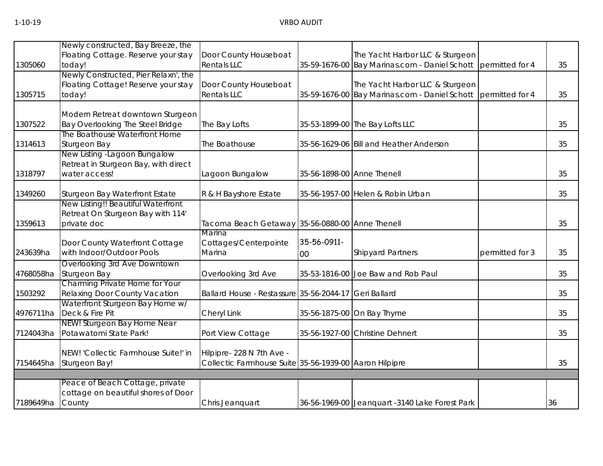| 1305060   | Newly constructed, Bay Breeze, the<br>Floating Cottage. Reserve your stay<br>today!    | Door County Houseboat<br><b>Rentals LLC</b>                                         |                   | The Yacht Harbor LLC & Sturgeon<br>35-59-1676-00 Bay Marinas.com - Daniel Schott | permitted for 4 | 35 |
|-----------|----------------------------------------------------------------------------------------|-------------------------------------------------------------------------------------|-------------------|----------------------------------------------------------------------------------|-----------------|----|
| 1305715   | Newly Constructed, Pier Relaxn', the<br>Floating Cottage! Reserve your stay<br>today!  | Door County Houseboat<br><b>Rentals LLC</b>                                         |                   | The Yacht Harbor LLC & Sturgeon<br>35-59-1676-00 Bay Marinas.com - Daniel Schott | permitted for 4 | 35 |
| 1307522   | Modern Retreat downtown Sturgeon<br>Bay Overlooking The Steel Bridge                   | The Bay Lofts                                                                       |                   | 35-53-1899-00 The Bay Lofts LLC                                                  |                 | 35 |
| 1314613   | The Boathouse Waterfront Home<br><b>Sturgeon Bay</b>                                   | The Boathouse                                                                       |                   | 35-56-1629-06 Bill and Heather Anderson                                          |                 | 35 |
| 1318797   | New Listing -Lagoon Bungalow<br>Retreat in Sturgeon Bay, with direct<br>water access!  | Lagoon Bungalow                                                                     |                   | 35-56-1898-00 Anne Thenell                                                       |                 | 35 |
| 1349260   | Sturgeon Bay Waterfront Estate                                                         | R & H Bayshore Estate                                                               |                   | 35-56-1957-00 Helen & Robin Urban                                                |                 | 35 |
| 1359613   | New Listing!! Beautiful Waterfront<br>Retreat On Sturgeon Bay with 114'<br>private doc | Tacoma Beach Getaway 35-56-0880-00 Anne Thenell                                     |                   |                                                                                  |                 | 35 |
| 243639ha  | Door County Waterfront Cottage<br>with Indoor/Outdoor Pools                            | Marina<br>Cottages/Centerpointe<br>Marina                                           | 35-56-0911-<br>00 | <b>Shipyard Partners</b>                                                         | permitted for 3 | 35 |
| 4768058ha | Overlooking 3rd Ave Downtown<br><b>Sturgeon Bay</b>                                    | Overlooking 3rd Ave                                                                 |                   | 35-53-1816-00 Joe Baw and Rob Paul                                               |                 | 35 |
| 1503292   | Charming Private Home for Your<br>Relaxing Door County Vacation                        | Ballard House - Restassure 35-56-2044-17 Geri Ballard                               |                   |                                                                                  |                 | 35 |
| 4976711ha | Waterfront Sturgeon Bay Home w/<br>Deck & Fire Pit                                     | Cheryl Link                                                                         |                   | 35-56-1875-00 On Bay Thyme                                                       |                 | 35 |
| 7124043ha | NEW! Sturgeon Bay Home Near<br>Potawatomi State Park!                                  | Port View Cottage                                                                   |                   | 35-56-1927-00 Christine Dehnert                                                  |                 | 35 |
|           | NEW! 'Collectic Farmhouse Suite!' in<br>7154645ha Sturgeon Bay!                        | Hilpipre- 228 N 7th Ave -<br>Collectic Farmhouse Suite 35-56-1939-00 Aaron Hilpipre |                   |                                                                                  |                 | 35 |
|           |                                                                                        |                                                                                     |                   |                                                                                  |                 |    |
| 7189649ha | Peace of Beach Cottage, private<br>cottage on beautiful shores of Door<br>County       | Chris Jeanquart                                                                     |                   | 36-56-1969-00 Jeanquart -3140 Lake Forest Park                                   |                 | 36 |
|           |                                                                                        |                                                                                     |                   |                                                                                  |                 |    |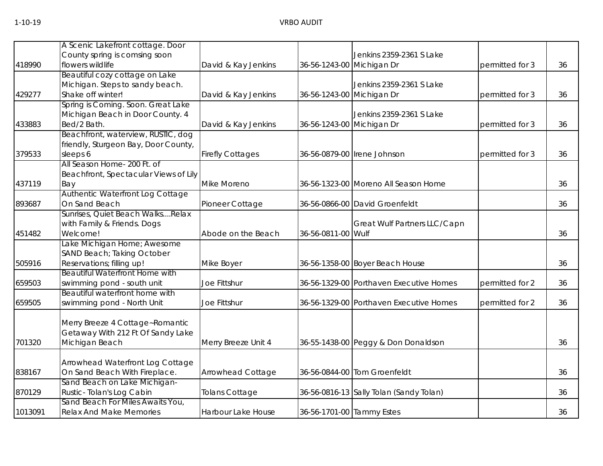|         | A Scenic Lakefront cottage. Door        |                         |                           |                                         |                 |    |
|---------|-----------------------------------------|-------------------------|---------------------------|-----------------------------------------|-----------------|----|
|         | County spring is comsing soon           |                         |                           | Jenkins 2359-2361 S Lake                |                 |    |
| 418990  | flowers wildlife                        |                         |                           |                                         |                 | 36 |
|         |                                         | David & Kay Jenkins     | 36-56-1243-00 Michigan Dr |                                         | permitted for 3 |    |
|         | Beautiful cozy cottage on Lake          |                         |                           |                                         |                 |    |
|         | Michigan. Steps to sandy beach.         |                         |                           | Jenkins 2359-2361 S Lake                |                 |    |
| 429277  | Shake off winter!                       | David & Kay Jenkins     | 36-56-1243-00 Michigan Dr |                                         | permitted for 3 | 36 |
|         | Spring is Coming. Soon. Great Lake      |                         |                           |                                         |                 |    |
|         | Michigan Beach in Door County. 4        |                         |                           | Jenkins 2359-2361 S Lake                |                 |    |
| 433883  | Bed/2 Bath.                             | David & Kay Jenkins     | 36-56-1243-00 Michigan Dr |                                         | permitted for 3 | 36 |
|         | Beachfront, waterview, RUSTIC, dog      |                         |                           |                                         |                 |    |
|         | friendly, Sturgeon Bay, Door County,    |                         |                           |                                         |                 |    |
| 379533  | sleeps 6                                | <b>Firefly Cottages</b> |                           | 36-56-0879-00 Irene Johnson             | permitted for 3 | 36 |
|         | All Season Home- 200 Ft. of             |                         |                           |                                         |                 |    |
|         | Beachfront, Spectacular Views of Lily   |                         |                           |                                         |                 |    |
| 437119  | Bay                                     | Mike Moreno             |                           | 36-56-1323-00 Moreno All Season Home    |                 | 36 |
|         | <b>Authentic Waterfront Log Cottage</b> |                         |                           |                                         |                 |    |
| 893687  | On Sand Beach                           | Pioneer Cottage         |                           | 36-56-0866-00 David Groenfeldt          |                 | 36 |
|         | Sunrises, Quiet Beach WalksRelax        |                         |                           |                                         |                 |    |
|         | with Family & Friends. Dogs             |                         |                           | Great Wulf Partners LLC/Capn            |                 |    |
| 451482  | Welcome!                                | Abode on the Beach      | 36-56-0811-00 Wulf        |                                         |                 | 36 |
|         | Lake Michigan Home; Awesome             |                         |                           |                                         |                 |    |
|         | SAND Beach; Taking October              |                         |                           |                                         |                 |    |
| 505916  | Reservations; filling up!               | Mike Boyer              |                           | 36-56-1358-00 Boyer Beach House         |                 | 36 |
|         | <b>Beautiful Waterfront Home with</b>   |                         |                           |                                         |                 |    |
| 659503  | swimming pond - south unit              | Joe Fittshur            |                           | 36-56-1329-00 Porthaven Executive Homes | permitted for 2 | 36 |
|         | Beautiful waterfront home with          |                         |                           |                                         |                 |    |
| 659505  | swimming pond - North Unit              | Joe Fittshur            |                           | 36-56-1329-00 Porthaven Executive Homes | permitted for 2 | 36 |
|         |                                         |                         |                           |                                         |                 |    |
|         | Merry Breeze 4 Cottage~Romantic         |                         |                           |                                         |                 |    |
|         | Getaway With 212 Ft Of Sandy Lake       |                         |                           |                                         |                 |    |
| 701320  | Michigan Beach                          | Merry Breeze Unit 4     |                           | 36-55-1438-00 Peggy & Don Donaldson     |                 | 36 |
|         |                                         |                         |                           |                                         |                 |    |
|         | Arrowhead Waterfront Log Cottage        |                         |                           |                                         |                 |    |
| 838167  | On Sand Beach With Fireplace.           | Arrowhead Cottage       |                           | 36-56-0844-00 Tom Groenfeldt            |                 | 36 |
|         | Sand Beach on Lake Michigan-            |                         |                           |                                         |                 |    |
| 870129  | Rustic-Tolan's Log Cabin                | <b>Tolans Cottage</b>   |                           | 36-56-0816-13 Sally Tolan (Sandy Tolan) |                 | 36 |
|         | Sand Beach For Miles Awaits You,        |                         |                           |                                         |                 |    |
| 1013091 | <b>Relax And Make Memories</b>          | Harbour Lake House      | 36-56-1701-00 Tammy Estes |                                         |                 | 36 |
|         |                                         |                         |                           |                                         |                 |    |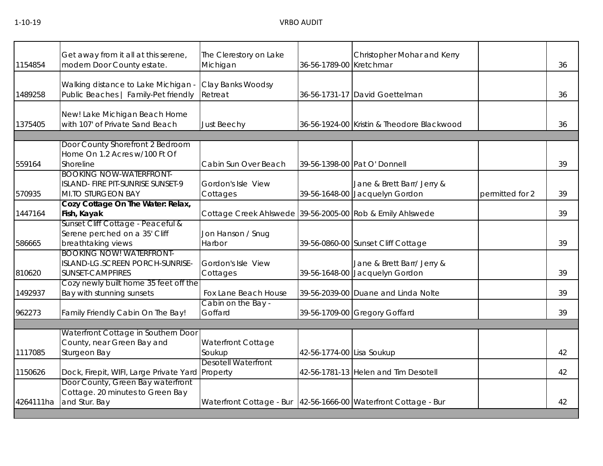| 1154854   | Get away from it all at this serene,<br>modern Door County estate.                            | The Clerestory on Lake<br>Michigan                                | 36-56-1789-00 Kretchmar   | Christopher Mohar and Kerry                                  |                 | 36 |
|-----------|-----------------------------------------------------------------------------------------------|-------------------------------------------------------------------|---------------------------|--------------------------------------------------------------|-----------------|----|
| 1489258   | Walking distance to Lake Michigan -<br>Public Beaches   Family-Pet friendly                   | Clay Banks Woodsy<br>Retreat                                      |                           | 36-56-1731-17 David Goettelman                               |                 | 36 |
| 1375405   | New! Lake Michigan Beach Home<br>with 107' of Private Sand Beach                              | Just Beechy                                                       |                           | 36-56-1924-00 Kristin & Theodore Blackwood                   |                 | 36 |
|           |                                                                                               |                                                                   |                           |                                                              |                 |    |
| 559164    | Door County Shorefront 2 Bedroom<br>Home On 1.2 Acres w/100 Ft Of<br>Shoreline                | Cabin Sun Over Beach                                              |                           | 39-56-1398-00 Pat O' Donnell                                 |                 | 39 |
| 570935    | <b>BOOKING NOW-WATERFRONT-</b><br>ISLAND- FIRE PIT-SUNRISE SUNSET-9<br>MI.TO STURGEON BAY     | Gordon's Isle View<br>Cottages                                    |                           | Jane & Brett Barr/ Jerry &<br>39-56-1648-00 Jacquelyn Gordon | permitted for 2 | 39 |
| 1447164   | Cozy Cottage On The Water: Relax,<br>Fish, Kayak                                              | Cottage Creek Ahlswede 39-56-2005-00 Rob & Emily Ahlswede         |                           |                                                              |                 | 39 |
| 586665    | Sunset Cliff Cottage - Peaceful &<br>Serene perched on a 35' Cliff<br>breathtaking views      | Jon Hanson / Snug<br>Harbor                                       |                           | 39-56-0860-00 Sunset Cliff Cottage                           |                 | 39 |
| 810620    | <b>BOOKING NOW! WATERFRONT-</b><br>ISLAND-LG.SCREEN PORCH-SUNRISE-<br><b>SUNSET-CAMPFIRES</b> | Gordon's Isle View<br>Cottages                                    |                           | Jane & Brett Barr/ Jerry &<br>39-56-1648-00 Jacquelyn Gordon |                 | 39 |
| 1492937   | Cozy newly built home 35 feet off the<br>Bay with stunning sunsets                            | Fox Lane Beach House                                              |                           | 39-56-2039-00 Duane and Linda Nolte                          |                 | 39 |
| 962273    | Family Friendly Cabin On The Bay!                                                             | Cabin on the Bay -<br>Goffard                                     |                           | 39-56-1709-00 Gregory Goffard                                |                 | 39 |
|           |                                                                                               |                                                                   |                           |                                                              |                 |    |
| 1117085   | Waterfront Cottage in Southern Door<br>County, near Green Bay and<br>Sturgeon Bay             | <b>Waterfront Cottage</b><br>Soukup                               | 42-56-1774-00 Lisa Soukup |                                                              |                 | 42 |
| 1150626   | Dock, Firepit, WIFI, Large Private Yard Property                                              | <b>Desotell Waterfront</b>                                        |                           | 42-56-1781-13 Helen and Tim Desotell                         |                 | 42 |
| 4264111ha | Door County, Green Bay waterfront<br>Cottage. 20 minutes to Green Bay<br>and Stur. Bay        | Waterfront Cottage - Bur   42-56-1666-00 Waterfront Cottage - Bur |                           |                                                              |                 | 42 |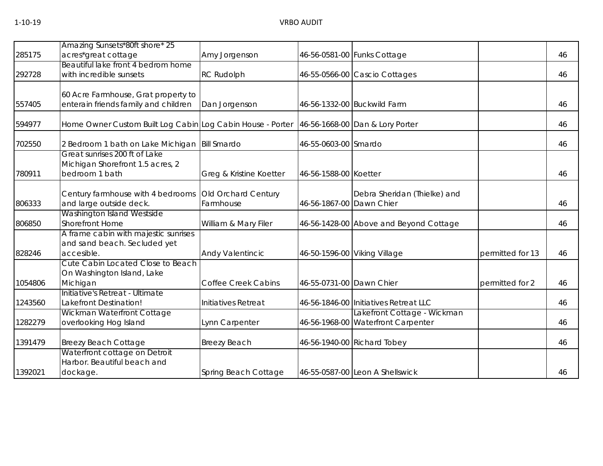|         | Amazing Sunsets*80ft shore* 25                                                      |                                  |                          |                                                                   |                  |    |
|---------|-------------------------------------------------------------------------------------|----------------------------------|--------------------------|-------------------------------------------------------------------|------------------|----|
| 285175  | acres*great cottage                                                                 | Amy Jorgenson                    |                          | 46-56-0581-00 Funks Cottage                                       |                  | 46 |
| 292728  | Beautiful lake front 4 bedrom home<br>with incredible sunsets                       | <b>RC Rudolph</b>                |                          | 46-55-0566-00 Cascio Cottages                                     |                  | 46 |
| 557405  | 60 Acre Farmhouse, Grat property to<br>enterain friends family and children         | Dan Jorgenson                    |                          | 46-56-1332-00 Buckwild Farm                                       |                  | 46 |
| 594977  | Home Owner Custom Built Log Cabin Log Cabin House - Porter                          |                                  |                          | 46-56-1668-00 Dan & Lory Porter                                   |                  | 46 |
| 702550  | 2 Bedroom 1 bath on Lake Michigan                                                   | <b>Bill Smardo</b>               | 46-55-0603-00 Smardo     |                                                                   |                  | 46 |
| 780911  | Great sunrises 200 ft of Lake<br>Michigan Shorefront 1.5 acres, 2<br>bedroom 1 bath | Greg & Kristine Koetter          | 46-56-1588-00 Koetter    |                                                                   |                  | 46 |
| 806333  | Century farmhouse with 4 bedrooms<br>and large outside deck.                        | Old Orchard Century<br>Farmhouse | 46-56-1867-00 Dawn Chier | Debra Sheridan (Thielke) and                                      |                  | 46 |
| 806850  | Washington Island Westside<br><b>Shorefront Home</b>                                | William & Mary Filer             |                          | 46-56-1428-00 Above and Beyond Cottage                            |                  | 46 |
| 828246  | A frame cabin with majestic sunrises<br>and sand beach. Secluded yet<br>accesible.  | Andy Valentincic                 |                          | 46-50-1596-00 Viking Village                                      | permitted for 13 | 46 |
| 1054806 | Cute Cabin Located Close to Beach<br>On Washington Island, Lake<br>Michigan         | <b>Coffee Creek Cabins</b>       | 46-55-0731-00 Dawn Chier |                                                                   | permitted for 2  | 46 |
| 1243560 | Initiative's Retreat - Ultimate<br>Lakefront Destination!                           | Initiatives Retreat              |                          | 46-56-1846-00 Initiatives Retreat LLC                             |                  | 46 |
| 1282279 | Wickman Waterfront Cottage<br>overlooking Hog Island                                | Lynn Carpenter                   |                          | Lakefront Cottage - Wickman<br>46-56-1968-00 Waterfront Carpenter |                  | 46 |
| 1391479 | <b>Breezy Beach Cottage</b>                                                         | <b>Breezy Beach</b>              |                          | 46-56-1940-00 Richard Tobey                                       |                  | 46 |
| 1392021 | Waterfront cottage on Detroit<br>Harbor. Beautiful beach and<br>dockage.            | Spring Beach Cottage             |                          | 46-55-0587-00 Leon A Shellswick                                   |                  | 46 |